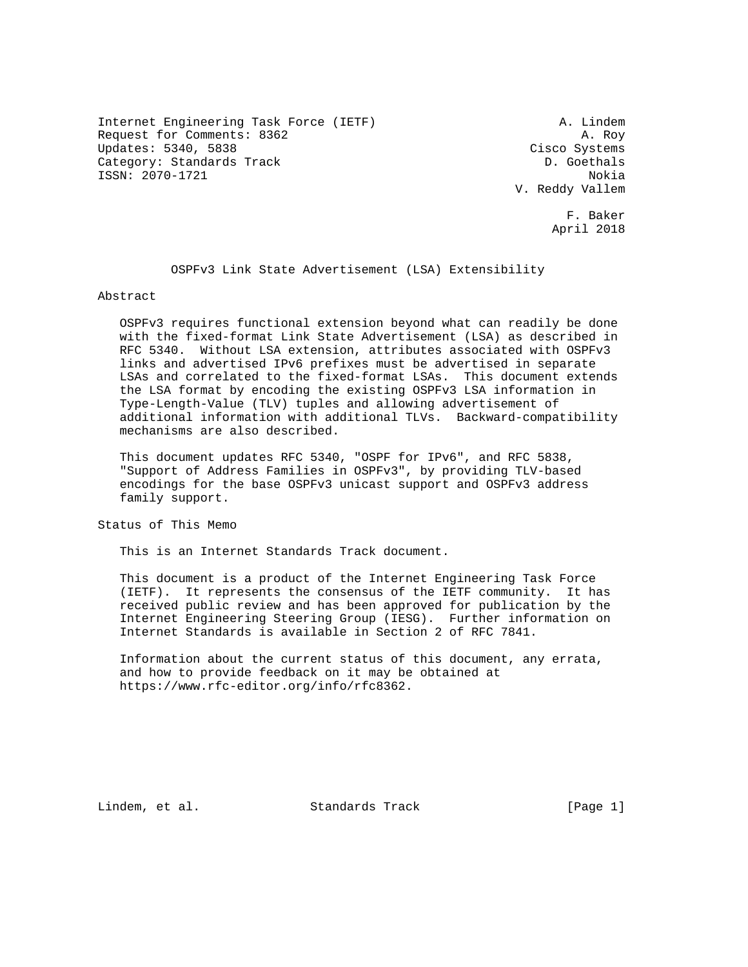Internet Engineering Task Force (IETF) A. Lindem Request for Comments: 8362 A. Roy Updates: 5340, 5838 Cisco Systems Category: Standards Track D. Goethals ISSN: 2070-1721 Nokia

 V. Reddy Vallem F. Baker

April 2018

OSPFv3 Link State Advertisement (LSA) Extensibility

Abstract

 OSPFv3 requires functional extension beyond what can readily be done with the fixed-format Link State Advertisement (LSA) as described in RFC 5340. Without LSA extension, attributes associated with OSPFv3 links and advertised IPv6 prefixes must be advertised in separate LSAs and correlated to the fixed-format LSAs. This document extends the LSA format by encoding the existing OSPFv3 LSA information in Type-Length-Value (TLV) tuples and allowing advertisement of additional information with additional TLVs. Backward-compatibility mechanisms are also described.

 This document updates RFC 5340, "OSPF for IPv6", and RFC 5838, "Support of Address Families in OSPFv3", by providing TLV-based encodings for the base OSPFv3 unicast support and OSPFv3 address family support.

Status of This Memo

This is an Internet Standards Track document.

 This document is a product of the Internet Engineering Task Force (IETF). It represents the consensus of the IETF community. It has received public review and has been approved for publication by the Internet Engineering Steering Group (IESG). Further information on Internet Standards is available in Section 2 of RFC 7841.

 Information about the current status of this document, any errata, and how to provide feedback on it may be obtained at https://www.rfc-editor.org/info/rfc8362.

Lindem, et al. Standards Track [Page 1]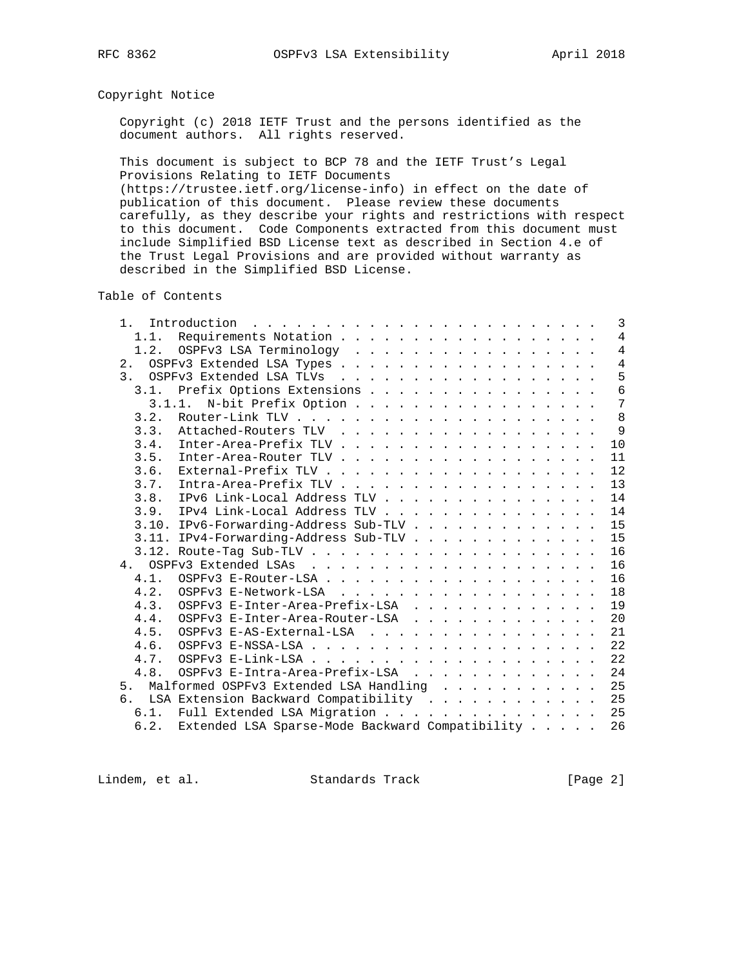# Copyright Notice

 Copyright (c) 2018 IETF Trust and the persons identified as the document authors. All rights reserved.

 This document is subject to BCP 78 and the IETF Trust's Legal Provisions Relating to IETF Documents

 (https://trustee.ietf.org/license-info) in effect on the date of publication of this document. Please review these documents carefully, as they describe your rights and restrictions with respect to this document. Code Components extracted from this document must include Simplified BSD License text as described in Section 4.e of the Trust Legal Provisions and are provided without warranty as described in the Simplified BSD License.

Table of Contents

| 1 <sup>1</sup> |                                                 |  |  | 3              |
|----------------|-------------------------------------------------|--|--|----------------|
| 1.1.           | Requirements Notation                           |  |  | $\overline{4}$ |
|                | 1.2. OSPFv3 LSA Terminology                     |  |  | $\overline{4}$ |
| 2.             | OSPFv3 Extended LSA Types                       |  |  | $\overline{4}$ |
| 3 <sub>1</sub> | OSPFv3 Extended LSA TLVs                        |  |  | 5              |
| 3.1.           | Prefix Options Extensions                       |  |  | 6              |
|                | 3.1.1. N-bit Prefix Option                      |  |  | 7              |
|                |                                                 |  |  | 8              |
| 3.3.           |                                                 |  |  | 9              |
| 3.4.           |                                                 |  |  | 10             |
| 3.5.           | Inter-Area-Router TLV                           |  |  | 11             |
| 3.6.           |                                                 |  |  | 12             |
| 3.7.           | Intra-Area-Prefix TLV                           |  |  | 13             |
| 3.8.           | IPv6 Link-Local Address TLV                     |  |  | 14             |
| 3.9.           | IPv4 Link-Local Address TLV                     |  |  | 14             |
|                |                                                 |  |  | 15             |
|                | 3.11. IPv4-Forwarding-Address Sub-TLV           |  |  | 15             |
|                |                                                 |  |  | 16             |
|                |                                                 |  |  | 16             |
| 4.1            |                                                 |  |  | 16             |
| 4.2.           | OSPFv3 E-Network-LSA                            |  |  | 18             |
|                |                                                 |  |  |                |
| 4.3.<br>4.4.   | OSPFv3 E-Inter-Area-Prefix-LSA                  |  |  | 19             |
|                | OSPFv3 E-Inter-Area-Router-LSA                  |  |  | 20             |
| 4.5.           | OSPFv3 E-AS-External-LSA                        |  |  | 21             |
| 4.6.           |                                                 |  |  | 22             |
| 4.7.           |                                                 |  |  | 22             |
| 4.8.           | OSPFv3 E-Intra-Area-Prefix-LSA                  |  |  | 24             |
| 5 <sub>1</sub> | Malformed OSPFv3 Extended LSA Handling          |  |  | 25             |
| რ.             | LSA Extension Backward Compatibility            |  |  | 25             |
| 6.1.           | Full Extended LSA Migration                     |  |  | 25             |
| 6.2.           | Extended LSA Sparse-Mode Backward Compatibility |  |  | 26             |

Lindem, et al. Standards Track [Page 2]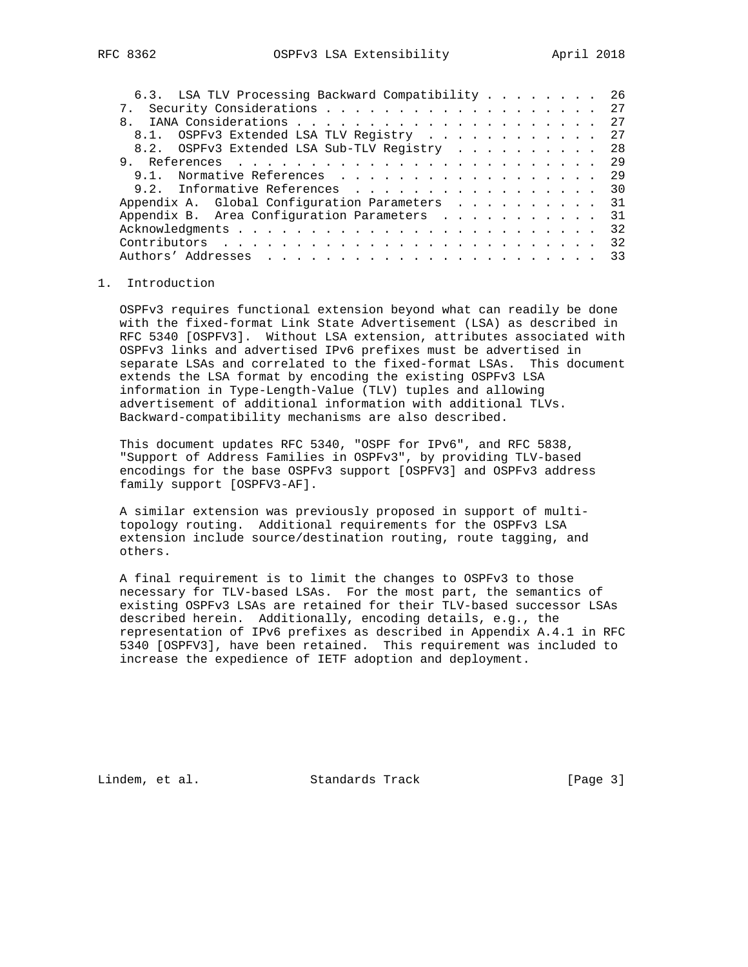| 6.3. LSA TLV Processing Backward Compatibility 26 |  |  |  |  |    |
|---------------------------------------------------|--|--|--|--|----|
| 7. Security Considerations 27                     |  |  |  |  |    |
|                                                   |  |  |  |  |    |
| 8.1. OSPFv3 Extended LSA TLV Registry             |  |  |  |  | 27 |
| 8.2. OSPFv3 Extended LSA Sub-TLV Registry         |  |  |  |  | 28 |
|                                                   |  |  |  |  | 29 |
| 9.1. Normative References                         |  |  |  |  | 29 |
| 9.2. Informative References                       |  |  |  |  | 30 |
| Appendix A. Global Configuration Parameters 31    |  |  |  |  |    |
| Appendix B. Area Configuration Parameters         |  |  |  |  | 31 |
|                                                   |  |  |  |  | 32 |
|                                                   |  |  |  |  | 32 |
|                                                   |  |  |  |  | 33 |
|                                                   |  |  |  |  |    |

## 1. Introduction

 OSPFv3 requires functional extension beyond what can readily be done with the fixed-format Link State Advertisement (LSA) as described in RFC 5340 [OSPFV3]. Without LSA extension, attributes associated with OSPFv3 links and advertised IPv6 prefixes must be advertised in separate LSAs and correlated to the fixed-format LSAs. This document extends the LSA format by encoding the existing OSPFv3 LSA information in Type-Length-Value (TLV) tuples and allowing advertisement of additional information with additional TLVs. Backward-compatibility mechanisms are also described.

 This document updates RFC 5340, "OSPF for IPv6", and RFC 5838, "Support of Address Families in OSPFv3", by providing TLV-based encodings for the base OSPFv3 support [OSPFV3] and OSPFv3 address family support [OSPFV3-AF].

 A similar extension was previously proposed in support of multi topology routing. Additional requirements for the OSPFv3 LSA extension include source/destination routing, route tagging, and others.

 A final requirement is to limit the changes to OSPFv3 to those necessary for TLV-based LSAs. For the most part, the semantics of existing OSPFv3 LSAs are retained for their TLV-based successor LSAs described herein. Additionally, encoding details, e.g., the representation of IPv6 prefixes as described in Appendix A.4.1 in RFC 5340 [OSPFV3], have been retained. This requirement was included to increase the expedience of IETF adoption and deployment.

Lindem, et al. Standards Track [Page 3]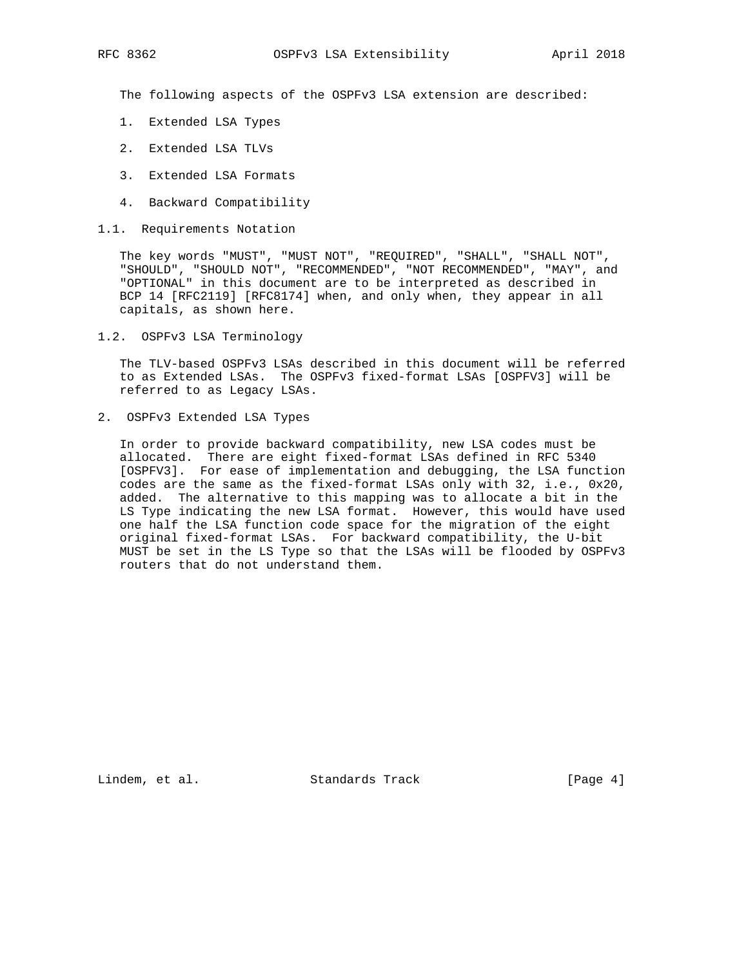The following aspects of the OSPFv3 LSA extension are described:

- 1. Extended LSA Types
- 2. Extended LSA TLVs
- 3. Extended LSA Formats
- 4. Backward Compatibility
- 1.1. Requirements Notation

 The key words "MUST", "MUST NOT", "REQUIRED", "SHALL", "SHALL NOT", "SHOULD", "SHOULD NOT", "RECOMMENDED", "NOT RECOMMENDED", "MAY", and "OPTIONAL" in this document are to be interpreted as described in BCP 14 [RFC2119] [RFC8174] when, and only when, they appear in all capitals, as shown here.

1.2. OSPFv3 LSA Terminology

 The TLV-based OSPFv3 LSAs described in this document will be referred to as Extended LSAs. The OSPFv3 fixed-format LSAs [OSPFV3] will be referred to as Legacy LSAs.

2. OSPFv3 Extended LSA Types

 In order to provide backward compatibility, new LSA codes must be allocated. There are eight fixed-format LSAs defined in RFC 5340 [OSPFV3]. For ease of implementation and debugging, the LSA function codes are the same as the fixed-format LSAs only with 32, i.e., 0x20, added. The alternative to this mapping was to allocate a bit in the LS Type indicating the new LSA format. However, this would have used one half the LSA function code space for the migration of the eight original fixed-format LSAs. For backward compatibility, the U-bit MUST be set in the LS Type so that the LSAs will be flooded by OSPFv3 routers that do not understand them.

Lindem, et al. Standards Track [Page 4]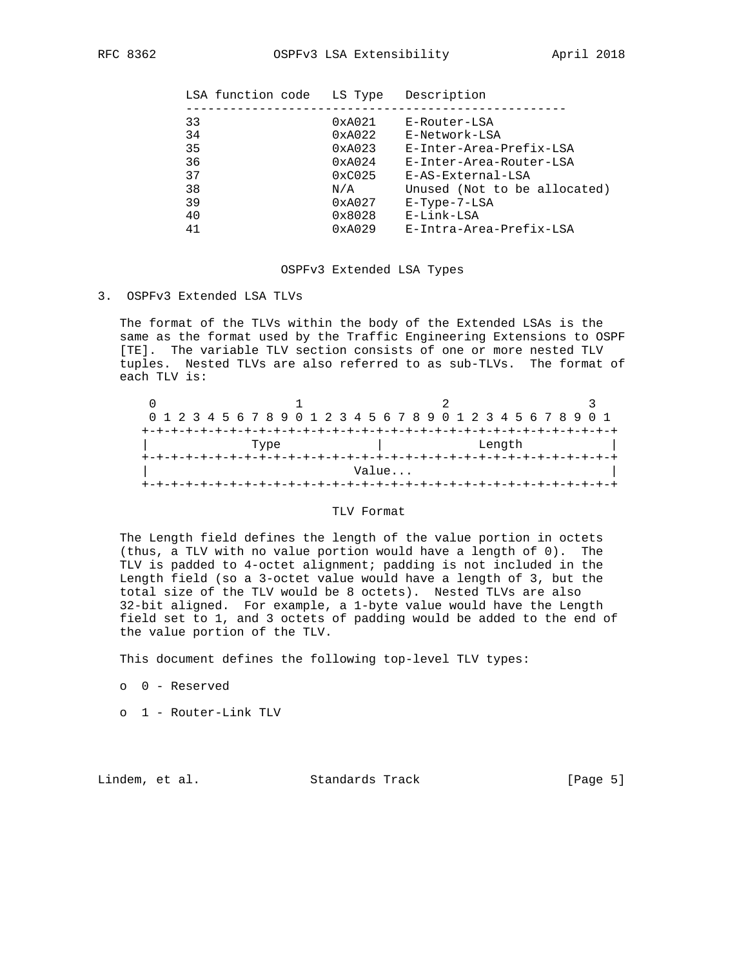| LSA function code | LS Type         | Description                  |
|-------------------|-----------------|------------------------------|
|                   |                 |                              |
| 33                | 0xA021          | E-Router-LSA                 |
| 34                | 0xA022          | E-Network-LSA                |
| 35                | 0xA023          | E-Inter-Area-Prefix-LSA      |
| 36                | 0xA024          | E-Inter-Area-Router-LSA      |
| 37                | 0xC025          | E-AS-External-LSA            |
| 38                | N/A             | Unused (Not to be allocated) |
| 39                | 0xA027          | $E-Type-7-LSA$               |
| 40                | $0 \times 8028$ | E-Link-LSA                   |
| 41                | 0xA029          | E-Intra-Area-Prefix-LSA      |
|                   |                 |                              |

#### OSPFv3 Extended LSA Types

3. OSPFv3 Extended LSA TLVs

 The format of the TLVs within the body of the Extended LSAs is the same as the format used by the Traffic Engineering Extensions to OSPF [TE]. The variable TLV section consists of one or more nested TLV tuples. Nested TLVs are also referred to as sub-TLVs. The format of each TLV is:

|      |  |  |  |  |  |  |  |  |  |  |  |  |       |  |  |  |        |  |  | 0 1 2 3 4 5 6 7 8 9 0 1 2 3 4 5 6 7 8 9 0 1 2 3 4 5 6 7 8 9 0 1 |  |
|------|--|--|--|--|--|--|--|--|--|--|--|--|-------|--|--|--|--------|--|--|-----------------------------------------------------------------|--|
|      |  |  |  |  |  |  |  |  |  |  |  |  |       |  |  |  |        |  |  |                                                                 |  |
| Type |  |  |  |  |  |  |  |  |  |  |  |  |       |  |  |  | Length |  |  |                                                                 |  |
|      |  |  |  |  |  |  |  |  |  |  |  |  |       |  |  |  |        |  |  |                                                                 |  |
|      |  |  |  |  |  |  |  |  |  |  |  |  | Value |  |  |  |        |  |  |                                                                 |  |
|      |  |  |  |  |  |  |  |  |  |  |  |  |       |  |  |  |        |  |  |                                                                 |  |

# TLV Format

 The Length field defines the length of the value portion in octets (thus, a TLV with no value portion would have a length of 0). The TLV is padded to 4-octet alignment; padding is not included in the Length field (so a 3-octet value would have a length of 3, but the total size of the TLV would be 8 octets). Nested TLVs are also 32-bit aligned. For example, a 1-byte value would have the Length field set to 1, and 3 octets of padding would be added to the end of the value portion of the TLV.

This document defines the following top-level TLV types:

o 0 - Reserved

o 1 - Router-Link TLV

Lindem, et al. Standards Track [Page 5]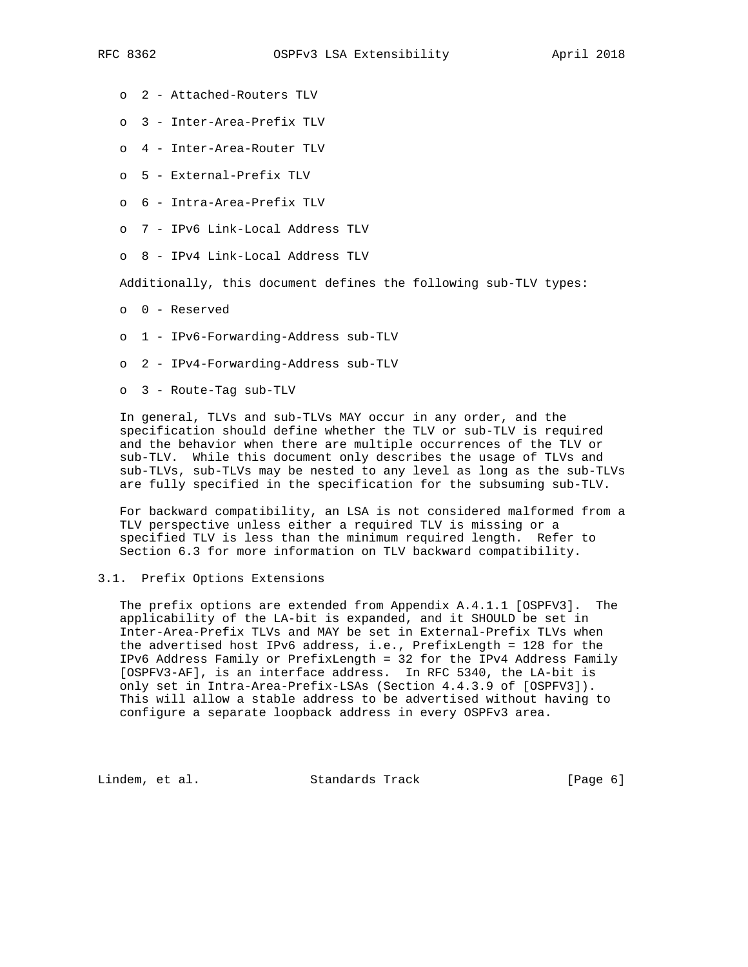- o 2 Attached-Routers TLV
- o 3 Inter-Area-Prefix TLV
- o 4 Inter-Area-Router TLV
- o 5 External-Prefix TLV
- o 6 Intra-Area-Prefix TLV
- o 7 IPv6 Link-Local Address TLV
- o 8 IPv4 Link-Local Address TLV

Additionally, this document defines the following sub-TLV types:

- o 0 Reserved
- o 1 IPv6-Forwarding-Address sub-TLV
- o 2 IPv4-Forwarding-Address sub-TLV
- o 3 Route-Tag sub-TLV

 In general, TLVs and sub-TLVs MAY occur in any order, and the specification should define whether the TLV or sub-TLV is required and the behavior when there are multiple occurrences of the TLV or sub-TLV. While this document only describes the usage of TLVs and sub-TLVs, sub-TLVs may be nested to any level as long as the sub-TLVs are fully specified in the specification for the subsuming sub-TLV.

 For backward compatibility, an LSA is not considered malformed from a TLV perspective unless either a required TLV is missing or a specified TLV is less than the minimum required length. Refer to Section 6.3 for more information on TLV backward compatibility.

## 3.1. Prefix Options Extensions

 The prefix options are extended from Appendix A.4.1.1 [OSPFV3]. The applicability of the LA-bit is expanded, and it SHOULD be set in Inter-Area-Prefix TLVs and MAY be set in External-Prefix TLVs when the advertised host IPv6 address, i.e., PrefixLength = 128 for the IPv6 Address Family or PrefixLength = 32 for the IPv4 Address Family [OSPFV3-AF], is an interface address. In RFC 5340, the LA-bit is only set in Intra-Area-Prefix-LSAs (Section 4.4.3.9 of [OSPFV3]). This will allow a stable address to be advertised without having to configure a separate loopback address in every OSPFv3 area.

Lindem, et al. Standards Track [Page 6]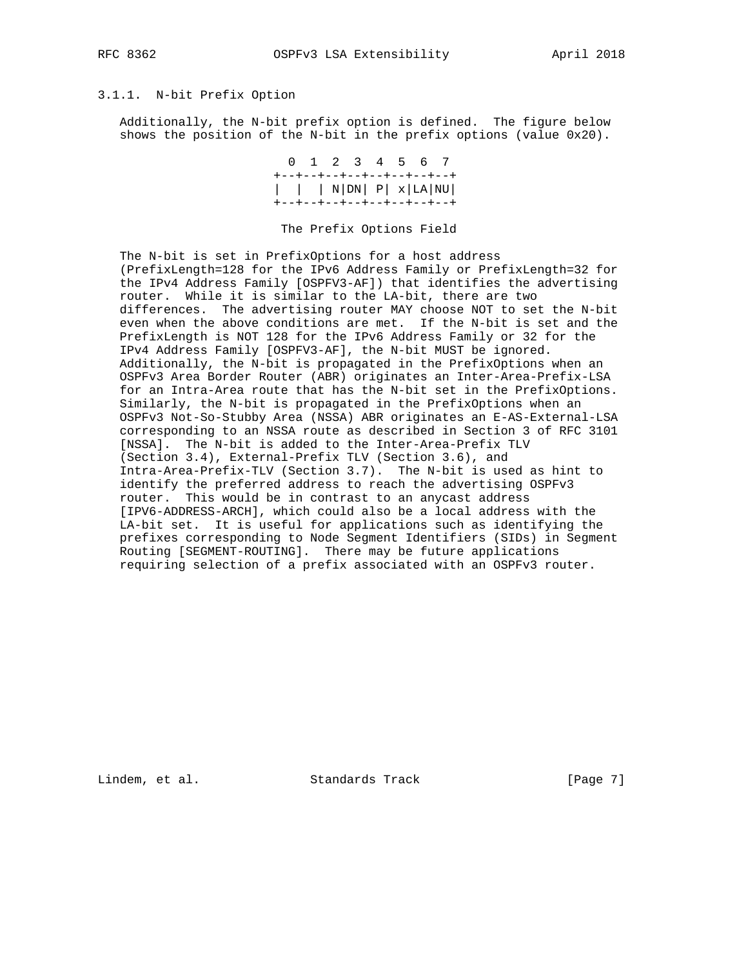# 3.1.1. N-bit Prefix Option

 Additionally, the N-bit prefix option is defined. The figure below shows the position of the N-bit in the prefix options (value 0x20).

> 0 1 2 3 4 5 6 7 +--+--+--+--+--+--+--+--+ | | | N|DN| P| x|LA|NU| +--+--+--+--+--+--+--+--+

The Prefix Options Field

 The N-bit is set in PrefixOptions for a host address (PrefixLength=128 for the IPv6 Address Family or PrefixLength=32 for the IPv4 Address Family [OSPFV3-AF]) that identifies the advertising router. While it is similar to the LA-bit, there are two differences. The advertising router MAY choose NOT to set the N-bit even when the above conditions are met. If the N-bit is set and the PrefixLength is NOT 128 for the IPv6 Address Family or 32 for the IPv4 Address Family [OSPFV3-AF], the N-bit MUST be ignored. Additionally, the N-bit is propagated in the PrefixOptions when an OSPFv3 Area Border Router (ABR) originates an Inter-Area-Prefix-LSA for an Intra-Area route that has the N-bit set in the PrefixOptions. Similarly, the N-bit is propagated in the PrefixOptions when an OSPFv3 Not-So-Stubby Area (NSSA) ABR originates an E-AS-External-LSA corresponding to an NSSA route as described in Section 3 of RFC 3101 [NSSA]. The N-bit is added to the Inter-Area-Prefix TLV (Section 3.4), External-Prefix TLV (Section 3.6), and Intra-Area-Prefix-TLV (Section 3.7). The N-bit is used as hint to identify the preferred address to reach the advertising OSPFv3 router. This would be in contrast to an anycast address [IPV6-ADDRESS-ARCH], which could also be a local address with the LA-bit set. It is useful for applications such as identifying the prefixes corresponding to Node Segment Identifiers (SIDs) in Segment Routing [SEGMENT-ROUTING]. There may be future applications requiring selection of a prefix associated with an OSPFv3 router.

Lindem, et al. Standards Track [Page 7]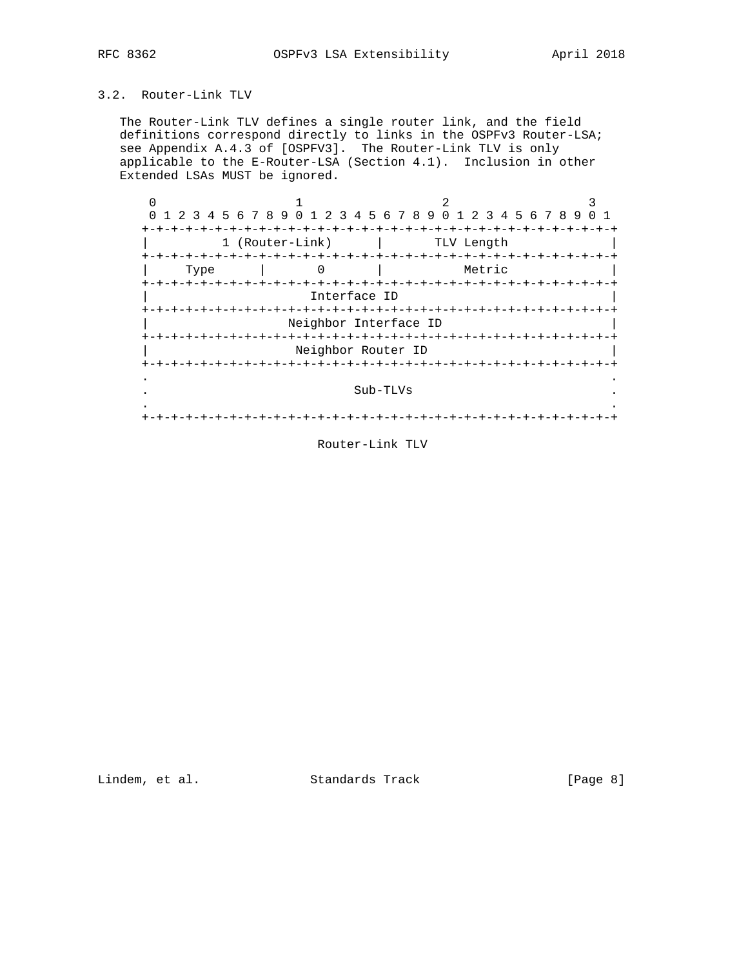# 3.2. Router-Link TLV

 The Router-Link TLV defines a single router link, and the field definitions correspond directly to links in the OSPFv3 Router-LSA; see Appendix A.4.3 of [OSPFV3]. The Router-Link TLV is only applicable to the E-Router-LSA (Section 4.1). Inclusion in other Extended LSAs MUST be ignored.

|                    |                 | 1 2 3 4 5 6 7 8 9 0 1 2 3 4 5 6 7 8 9 0 1 2 3 4 5 6 7 8 9 |          |            |        |  |
|--------------------|-----------------|-----------------------------------------------------------|----------|------------|--------|--|
|                    |                 |                                                           |          |            |        |  |
|                    | 1 (Router-Link) |                                                           |          | TLV Length |        |  |
|                    |                 |                                                           |          |            |        |  |
| Type               |                 |                                                           |          |            | Metric |  |
| <b>+-+-+-+-+-+</b> |                 |                                                           |          |            |        |  |
|                    |                 | Interface ID                                              |          |            |        |  |
| +-+-+-+-+-+-+-     |                 |                                                           |          |            |        |  |
|                    |                 | Neighbor Interface ID                                     |          |            |        |  |
|                    |                 |                                                           |          |            |        |  |
|                    |                 | Neighbor Router ID                                        |          |            |        |  |
|                    |                 |                                                           |          |            |        |  |
|                    |                 |                                                           | Sub-TLVs |            |        |  |
|                    |                 |                                                           |          |            |        |  |
|                    |                 |                                                           |          |            |        |  |
|                    |                 |                                                           |          |            |        |  |

Router-Link TLV

Lindem, et al. Standards Track [Page 8]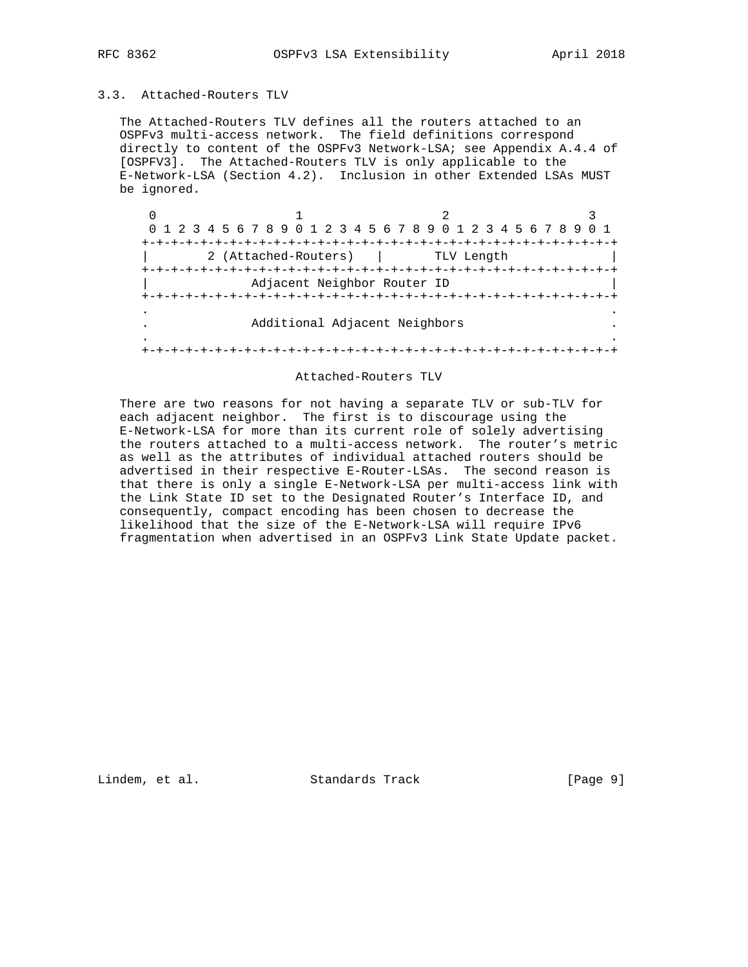# 3.3. Attached-Routers TLV

 The Attached-Routers TLV defines all the routers attached to an OSPFv3 multi-access network. The field definitions correspond directly to content of the OSPFv3 Network-LSA; see Appendix A.4.4 of [OSPFV3]. The Attached-Routers TLV is only applicable to the E-Network-LSA (Section 4.2). Inclusion in other Extended LSAs MUST be ignored.

| 0 1 2 3 4 5 6 7 8 9 0 1 2 3 4 5 6 7 8 9 0 1 2 3 4 5 6 7 8 9 |                |  |
|-------------------------------------------------------------|----------------|--|
|                                                             |                |  |
| 2 (Attached-Routers)                                        | TLV Length     |  |
|                                                             | -+-+-+-+-+-+-+ |  |
| Adjacent Neighbor Router ID                                 |                |  |
|                                                             |                |  |
|                                                             |                |  |
| Additional Adjacent Neighbors                               |                |  |
|                                                             |                |  |
|                                                             |                |  |

### Attached-Routers TLV

 There are two reasons for not having a separate TLV or sub-TLV for each adjacent neighbor. The first is to discourage using the E-Network-LSA for more than its current role of solely advertising the routers attached to a multi-access network. The router's metric as well as the attributes of individual attached routers should be advertised in their respective E-Router-LSAs. The second reason is that there is only a single E-Network-LSA per multi-access link with the Link State ID set to the Designated Router's Interface ID, and consequently, compact encoding has been chosen to decrease the likelihood that the size of the E-Network-LSA will require IPv6 fragmentation when advertised in an OSPFv3 Link State Update packet.

Lindem, et al. Standards Track [Page 9]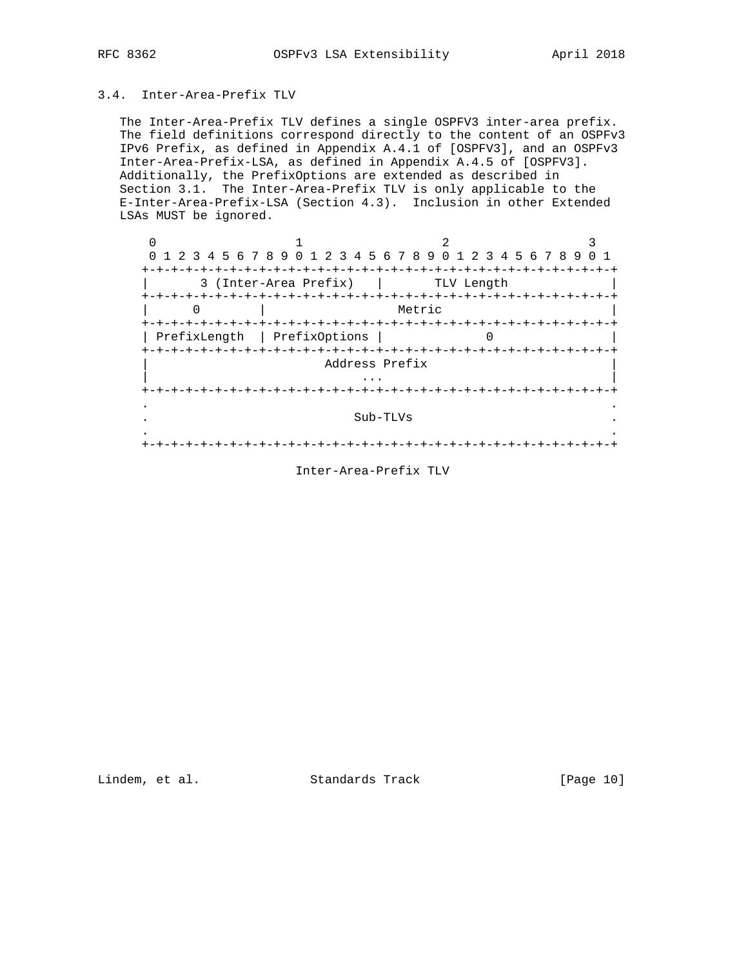# 3.4. Inter-Area-Prefix TLV

 The Inter-Area-Prefix TLV defines a single OSPFV3 inter-area prefix. The field definitions correspond directly to the content of an OSPFv3 IPv6 Prefix, as defined in Appendix A.4.1 of [OSPFV3], and an OSPFv3 Inter-Area-Prefix-LSA, as defined in Appendix A.4.5 of [OSPFV3]. Additionally, the PrefixOptions are extended as described in Section 3.1. The Inter-Area-Prefix TLV is only applicable to the E-Inter-Area-Prefix-LSA (Section 4.3). Inclusion in other Extended LSAs MUST be ignored.

|                 | 1 2 3 4 5 6 7 8 9 0 1 2 3 4 5 6 7 8 9 0 1 2 3 4 5 6 7 8 9 |                      |          |                   |            |  |  |  |  |
|-----------------|-----------------------------------------------------------|----------------------|----------|-------------------|------------|--|--|--|--|
| +-+-+-+-+-+-+-+ | 3 (Inter-Area Prefix)                                     | -+-+-+-+-+-+-+-+-+-+ |          | $- + - + - + - +$ | TLV Length |  |  |  |  |
|                 |                                                           |                      |          | Metric            |            |  |  |  |  |
| PrefixLength    | PrefixOptions                                             |                      |          |                   |            |  |  |  |  |
|                 |                                                           | Address Prefix       |          |                   |            |  |  |  |  |
|                 |                                                           |                      |          |                   |            |  |  |  |  |
|                 |                                                           |                      | Sub-TLVs |                   |            |  |  |  |  |
|                 |                                                           |                      |          |                   |            |  |  |  |  |

# Inter-Area-Prefix TLV

Lindem, et al. Standards Track [Page 10]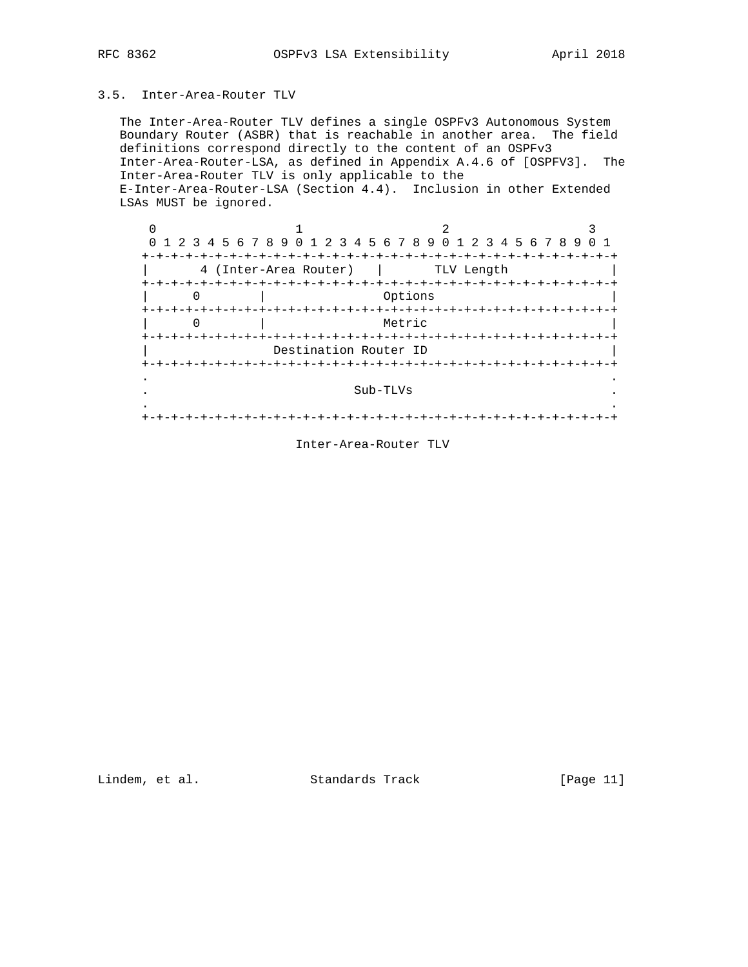# 3.5. Inter-Area-Router TLV

 The Inter-Area-Router TLV defines a single OSPFv3 Autonomous System Boundary Router (ASBR) that is reachable in another area. The field definitions correspond directly to the content of an OSPFv3 Inter-Area-Router-LSA, as defined in Appendix A.4.6 of [OSPFV3]. The Inter-Area-Router TLV is only applicable to the E-Inter-Area-Router-LSA (Section 4.4). Inclusion in other Extended LSAs MUST be ignored.

| $\Omega$                | 1 2 3 4 5 6 7 8 9 0 1 2 3 4 5 6 7 8 9 0 1 2 3 4 5 6 7 8 9 0 1 |  |  |                      |  |  |                       |  |                               |         |            |  |  |  |  |  |  |
|-------------------------|---------------------------------------------------------------|--|--|----------------------|--|--|-----------------------|--|-------------------------------|---------|------------|--|--|--|--|--|--|
| +-+-+-+-+-+-+-+-+-+-+-+ |                                                               |  |  |                      |  |  | 4 (Inter-Area Router) |  | -+-+-+-+-+-+-+-+-+-+-+-+-+-+- |         | TLV Length |  |  |  |  |  |  |
|                         |                                                               |  |  | $-+ - + - + - + - +$ |  |  |                       |  | -+-+-+-+-+-+-+-+-+-+-+-+      | Options |            |  |  |  |  |  |  |
|                         |                                                               |  |  |                      |  |  |                       |  |                               | Metric  |            |  |  |  |  |  |  |
|                         |                                                               |  |  |                      |  |  |                       |  | Destination Router ID         |         |            |  |  |  |  |  |  |
|                         |                                                               |  |  |                      |  |  |                       |  |                               |         |            |  |  |  |  |  |  |
|                         |                                                               |  |  |                      |  |  |                       |  | Sub-TLVs                      |         |            |  |  |  |  |  |  |
|                         |                                                               |  |  |                      |  |  |                       |  |                               |         |            |  |  |  |  |  |  |

Inter-Area-Router TLV

Lindem, et al. Standards Track [Page 11]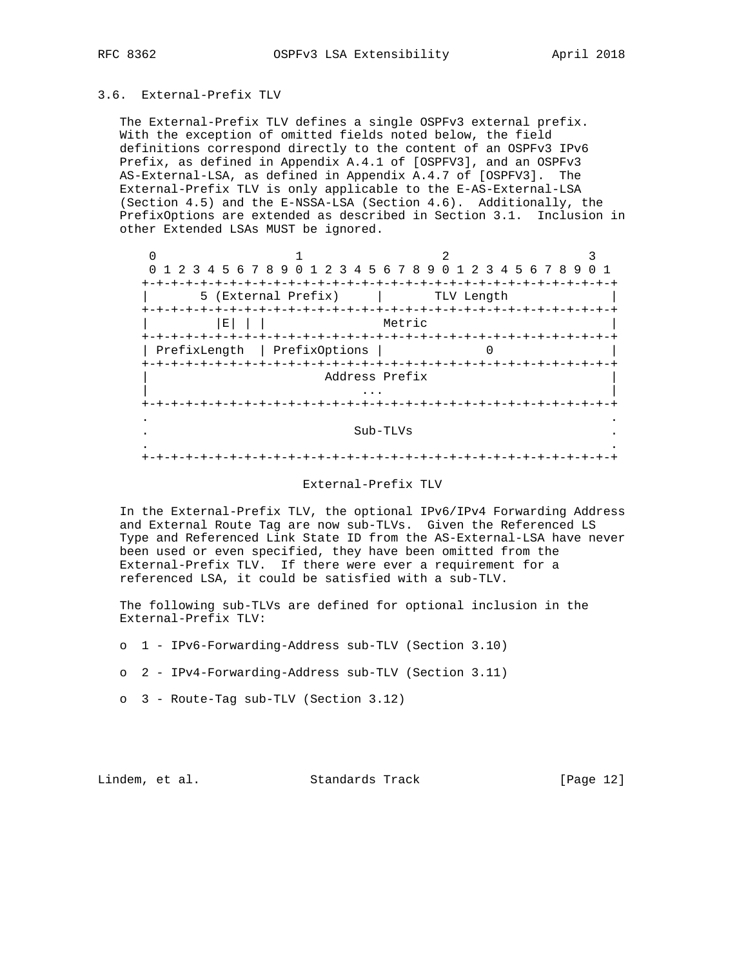## 3.6. External-Prefix TLV

 The External-Prefix TLV defines a single OSPFv3 external prefix. With the exception of omitted fields noted below, the field definitions correspond directly to the content of an OSPFv3 IPv6 Prefix, as defined in Appendix A.4.1 of [OSPFV3], and an OSPFv3 AS-External-LSA, as defined in Appendix A.4.7 of [OSPFV3]. The External-Prefix TLV is only applicable to the E-AS-External-LSA (Section 4.5) and the E-NSSA-LSA (Section 4.6). Additionally, the PrefixOptions are extended as described in Section 3.1. Inclusion in other Extended LSAs MUST be ignored.

| $\Omega$                          | 1 2 3 4 5 6 7 8 9 0 1 2 3 4 5 6 7 8 9 0 1 2 3 4 5 6 7 8 9 |                 |                     |  |
|-----------------------------------|-----------------------------------------------------------|-----------------|---------------------|--|
|                                   | -+-+-+-                                                   |                 |                     |  |
| 5                                 | (External Prefix)                                         |                 | TLV Length          |  |
|                                   |                                                           | --+-+-+-+-+-+-+ |                     |  |
| Е                                 |                                                           | Metric          |                     |  |
|                                   |                                                           |                 |                     |  |
| PrefixLength                      | PrefixOptions                                             |                 |                     |  |
| +-+-+-+-+-+-+-+-+-+-+-+-+-+-+-+-+ |                                                           |                 | +-+-+-+-+-+-+-+-+-+ |  |
|                                   | Address Prefix                                            |                 |                     |  |
|                                   |                                                           |                 |                     |  |
|                                   |                                                           | -+-+-+-+        |                     |  |
|                                   |                                                           |                 |                     |  |
|                                   |                                                           | Sub-TLVs        |                     |  |
|                                   |                                                           |                 |                     |  |
|                                   |                                                           |                 |                     |  |
|                                   |                                                           |                 |                     |  |

#### External-Prefix TLV

 In the External-Prefix TLV, the optional IPv6/IPv4 Forwarding Address and External Route Tag are now sub-TLVs. Given the Referenced LS Type and Referenced Link State ID from the AS-External-LSA have never been used or even specified, they have been omitted from the External-Prefix TLV. If there were ever a requirement for a referenced LSA, it could be satisfied with a sub-TLV.

 The following sub-TLVs are defined for optional inclusion in the External-Prefix TLV:

- o 1 IPv6-Forwarding-Address sub-TLV (Section 3.10)
- o 2 IPv4-Forwarding-Address sub-TLV (Section 3.11)
- o 3 Route-Tag sub-TLV (Section 3.12)

Lindem, et al. Standards Track [Page 12]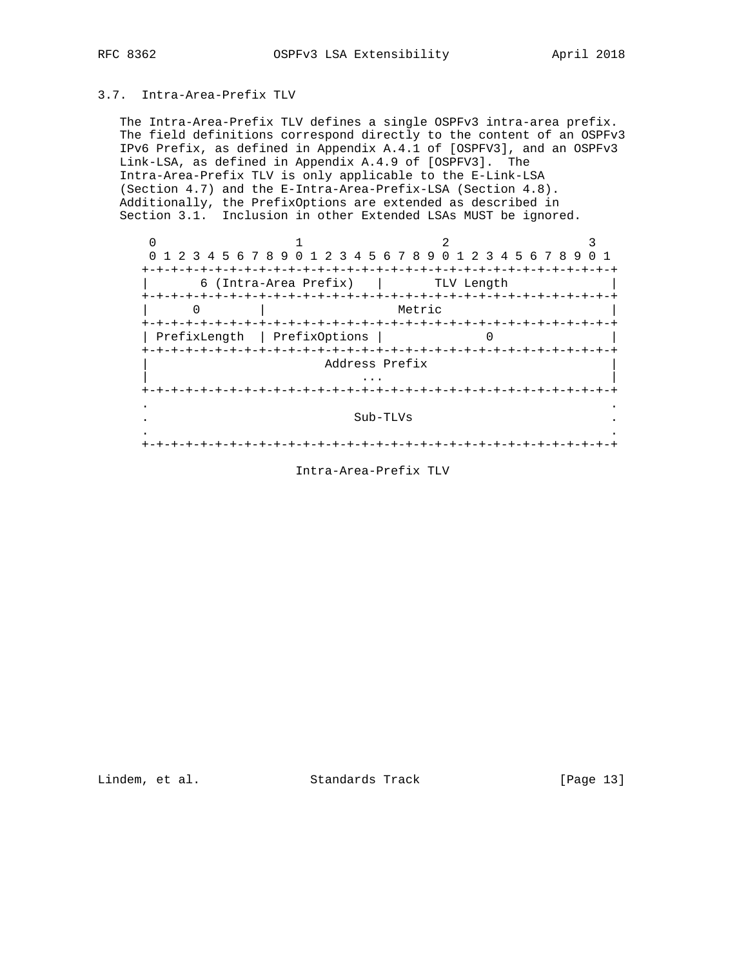# 3.7. Intra-Area-Prefix TLV

 The Intra-Area-Prefix TLV defines a single OSPFv3 intra-area prefix. The field definitions correspond directly to the content of an OSPFv3 IPv6 Prefix, as defined in Appendix A.4.1 of [OSPFV3], and an OSPFv3 Link-LSA, as defined in Appendix A.4.9 of [OSPFV3]. The Intra-Area-Prefix TLV is only applicable to the E-Link-LSA (Section 4.7) and the E-Intra-Area-Prefix-LSA (Section 4.8). Additionally, the PrefixOptions are extended as described in Section 3.1. Inclusion in other Extended LSAs MUST be ignored.

|              | 1 2 3 4 5 6 7 8 9 0 1 2 3 4 5 6 7 8 9 0 1 2 3 4 5 6 7 8 9 |               | $- + - +$  | -+-+-+-+-+-+ |
|--------------|-----------------------------------------------------------|---------------|------------|--------------|
|              | 6 (Intra-Area Prefix)                                     | $- + - + - +$ | TLV Length |              |
|              |                                                           | Metric        |            |              |
| PrefixLength | PrefixOptions                                             |               |            |              |
|              | Address Prefix                                            |               |            |              |
|              |                                                           |               |            |              |
|              |                                                           | Sub-TLVs      |            |              |
|              |                                                           |               |            |              |

# Intra-Area-Prefix TLV

Lindem, et al. Standards Track [Page 13]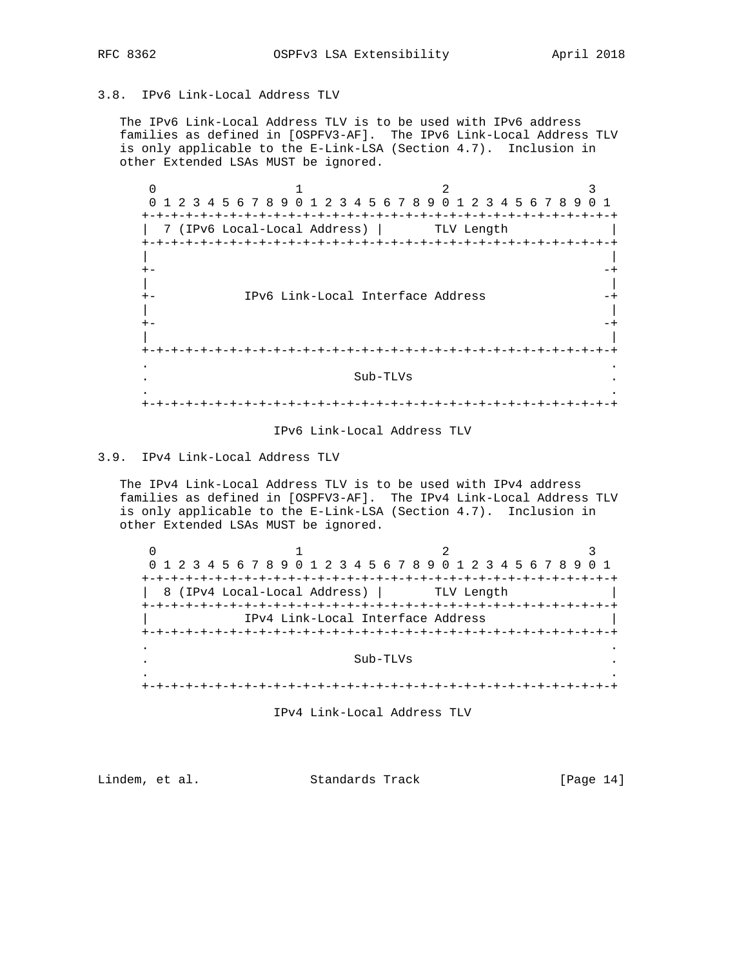## 3.8. IPv6 Link-Local Address TLV

 The IPv6 Link-Local Address TLV is to be used with IPv6 address families as defined in [OSPFV3-AF]. The IPv6 Link-Local Address TLV is only applicable to the E-Link-LSA (Section 4.7). Inclusion in other Extended LSAs MUST be ignored.

 $0$  1 2 3 0 1 2 3 4 5 6 7 8 9 0 1 2 3 4 5 6 7 8 9 0 1 2 3 4 5 6 7 8 9 0 1 +-+-+-+-+-+-+-+-+-+-+-+-+-+-+-+-+-+-+-+-+-+-+-+-+-+-+-+-+-+-+-+-+ | 7 (IPv6 Local-Local Address) | TLV Length | +-+-+-+-+-+-+-+-+-+-+-+-+-+-+-+-+-+-+-+-+-+-+-+-+-+-+-+-+-+-+-+-+ | | +- -+ | | +- IPv6 Link-Local Interface Address -+ | | +- -+ | | +-+-+-+-+-+-+-+-+-+-+-+-+-+-+-+-+-+-+-+-+-+-+-+-+-+-+-+-+-+-+-+-+ . . . Sub-TLVs . . . +-+-+-+-+-+-+-+-+-+-+-+-+-+-+-+-+-+-+-+-+-+-+-+-+-+-+-+-+-+-+-+-+

#### IPv6 Link-Local Address TLV

## 3.9. IPv4 Link-Local Address TLV

 The IPv4 Link-Local Address TLV is to be used with IPv4 address families as defined in [OSPFV3-AF]. The IPv4 Link-Local Address TLV is only applicable to the E-Link-LSA (Section 4.7). Inclusion in other Extended LSAs MUST be ignored.

 $0$  1 2 3 0 1 2 3 4 5 6 7 8 9 0 1 2 3 4 5 6 7 8 9 0 1 2 3 4 5 6 7 8 9 0 1 +-+-+-+-+-+-+-+-+-+-+-+-+-+-+-+-+-+-+-+-+-+-+-+-+-+-+-+-+-+-+-+-+ 8 (IPv4 Local-Local Address) | TLV Length +-+-+-+-+-+-+-+-+-+-+-+-+-+-+-+-+-+-+-+-+-+-+-+-+-+-+-+-+-+-+-+-+ | IPv4 Link-Local Interface Address | +-+-+-+-+-+-+-+-+-+-+-+-+-+-+-+-+-+-+-+-+-+-+-+-+-+-+-+-+-+-+-+-+ . . . Sub-TLVs . . . +-+-+-+-+-+-+-+-+-+-+-+-+-+-+-+-+-+-+-+-+-+-+-+-+-+-+-+-+-+-+-+-+

IPv4 Link-Local Address TLV

Lindem, et al. Standards Track [Page 14]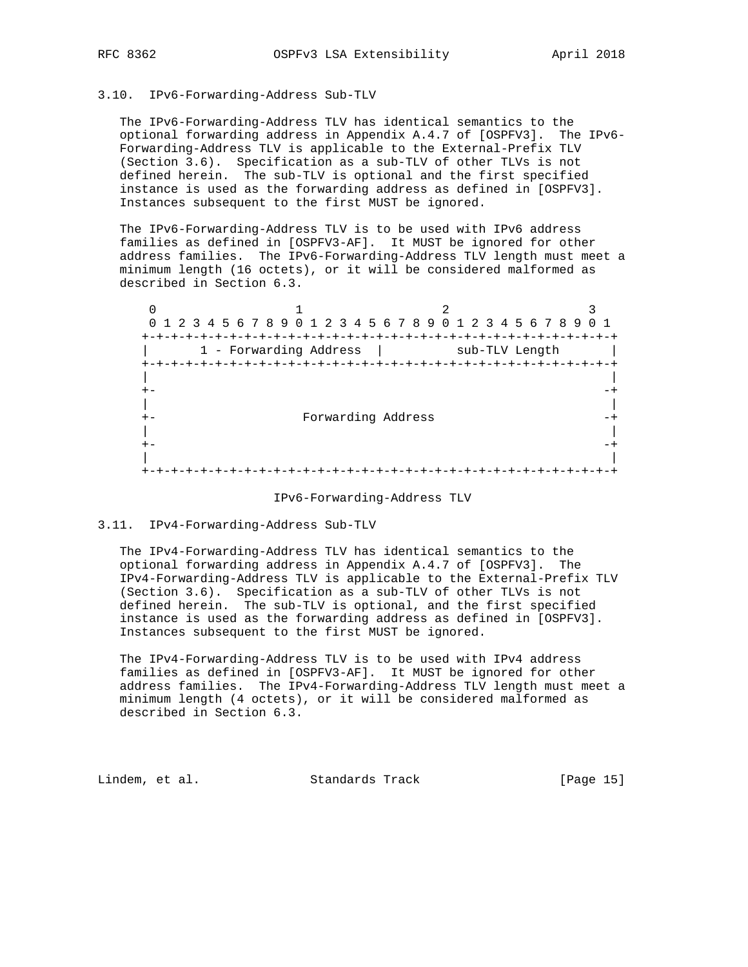## 3.10. IPv6-Forwarding-Address Sub-TLV

 The IPv6-Forwarding-Address TLV has identical semantics to the optional forwarding address in Appendix A.4.7 of [OSPFV3]. The IPv6- Forwarding-Address TLV is applicable to the External-Prefix TLV (Section 3.6). Specification as a sub-TLV of other TLVs is not defined herein. The sub-TLV is optional and the first specified instance is used as the forwarding address as defined in [OSPFV3]. Instances subsequent to the first MUST be ignored.

 The IPv6-Forwarding-Address TLV is to be used with IPv6 address families as defined in [OSPFV3-AF]. It MUST be ignored for other address families. The IPv6-Forwarding-Address TLV length must meet a minimum length (16 octets), or it will be considered malformed as described in Section 6.3.

 $0$  1 2 3 0 1 2 3 4 5 6 7 8 9 0 1 2 3 4 5 6 7 8 9 0 1 2 3 4 5 6 7 8 9 0 1 +-+-+-+-+-+-+-+-+-+-+-+-+-+-+-+-+-+-+-+-+-+-+-+-+-+-+-+-+-+-+-+-+ | 1 - Forwarding Address | sub-TLV Length | +-+-+-+-+-+-+-+-+-+-+-+-+-+-+-+-+-+-+-+-+-+-+-+-+-+-+-+-+-+-+-+-+ | | +- -+ | | +- Forwarding Address -+ | | +- -+ | | +-+-+-+-+-+-+-+-+-+-+-+-+-+-+-+-+-+-+-+-+-+-+-+-+-+-+-+-+-+-+-+-+

#### IPv6-Forwarding-Address TLV

#### 3.11. IPv4-Forwarding-Address Sub-TLV

 The IPv4-Forwarding-Address TLV has identical semantics to the optional forwarding address in Appendix A.4.7 of [OSPFV3]. The IPv4-Forwarding-Address TLV is applicable to the External-Prefix TLV (Section 3.6). Specification as a sub-TLV of other TLVs is not defined herein. The sub-TLV is optional, and the first specified instance is used as the forwarding address as defined in [OSPFV3]. Instances subsequent to the first MUST be ignored.

 The IPv4-Forwarding-Address TLV is to be used with IPv4 address families as defined in [OSPFV3-AF]. It MUST be ignored for other address families. The IPv4-Forwarding-Address TLV length must meet a minimum length (4 octets), or it will be considered malformed as described in Section 6.3.

Lindem, et al. Standards Track [Page 15]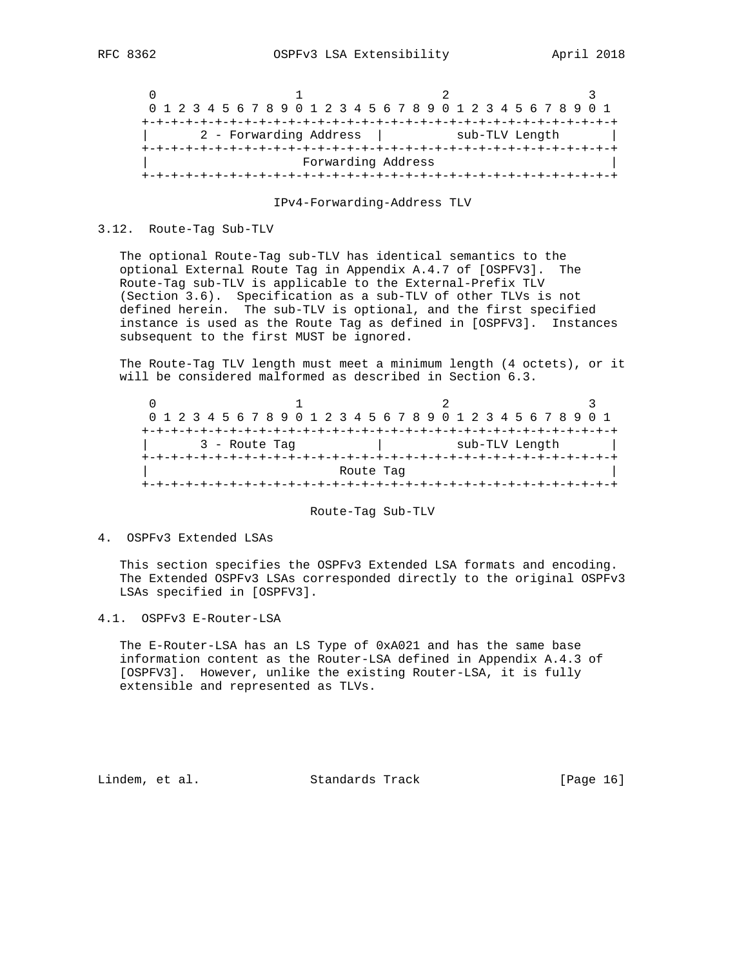|  |  |  |  |                        |  |  |  |                    |  |  |  |  |  | 0 1 2 3 4 5 6 7 8 9 0 1 2 3 4 5 6 7 8 9 0 1 2 3 4 5 6 7 8 9 0 1 |  |  |
|--|--|--|--|------------------------|--|--|--|--------------------|--|--|--|--|--|-----------------------------------------------------------------|--|--|
|  |  |  |  |                        |  |  |  |                    |  |  |  |  |  |                                                                 |  |  |
|  |  |  |  | 2 - Forwarding Address |  |  |  |                    |  |  |  |  |  | sub-TLV Length                                                  |  |  |
|  |  |  |  |                        |  |  |  |                    |  |  |  |  |  |                                                                 |  |  |
|  |  |  |  |                        |  |  |  | Forwarding Address |  |  |  |  |  |                                                                 |  |  |
|  |  |  |  |                        |  |  |  |                    |  |  |  |  |  |                                                                 |  |  |

IPv4-Forwarding-Address TLV

#### 3.12. Route-Tag Sub-TLV

 The optional Route-Tag sub-TLV has identical semantics to the optional External Route Tag in Appendix A.4.7 of [OSPFV3]. The Route-Tag sub-TLV is applicable to the External-Prefix TLV (Section 3.6). Specification as a sub-TLV of other TLVs is not defined herein. The sub-TLV is optional, and the first specified instance is used as the Route Tag as defined in [OSPFV3]. Instances subsequent to the first MUST be ignored.

 The Route-Tag TLV length must meet a minimum length (4 octets), or it will be considered malformed as described in Section 6.3.

|               |  |  |  |  |  |  |  |  |  |                |  | 0 1 2 3 4 5 6 7 8 9 0 1 2 3 4 5 6 7 8 9 0 1 2 3 4 5 6 7 8 9 0 1 |  |  |  |  |  |  |  |  |  |  |  |  |  |  |
|---------------|--|--|--|--|--|--|--|--|--|----------------|--|-----------------------------------------------------------------|--|--|--|--|--|--|--|--|--|--|--|--|--|--|
|               |  |  |  |  |  |  |  |  |  |                |  |                                                                 |  |  |  |  |  |  |  |  |  |  |  |  |  |  |
| 3 - Route Tag |  |  |  |  |  |  |  |  |  | sub-TLV Length |  |                                                                 |  |  |  |  |  |  |  |  |  |  |  |  |  |  |
|               |  |  |  |  |  |  |  |  |  |                |  |                                                                 |  |  |  |  |  |  |  |  |  |  |  |  |  |  |
| Route Tag     |  |  |  |  |  |  |  |  |  |                |  |                                                                 |  |  |  |  |  |  |  |  |  |  |  |  |  |  |
|               |  |  |  |  |  |  |  |  |  |                |  |                                                                 |  |  |  |  |  |  |  |  |  |  |  |  |  |  |

#### Route-Tag Sub-TLV

## 4. OSPFv3 Extended LSAs

 This section specifies the OSPFv3 Extended LSA formats and encoding. The Extended OSPFv3 LSAs corresponded directly to the original OSPFv3 LSAs specified in [OSPFV3].

4.1. OSPFv3 E-Router-LSA

 The E-Router-LSA has an LS Type of 0xA021 and has the same base information content as the Router-LSA defined in Appendix A.4.3 of [OSPFV3]. However, unlike the existing Router-LSA, it is fully extensible and represented as TLVs.

Lindem, et al. Standards Track [Page 16]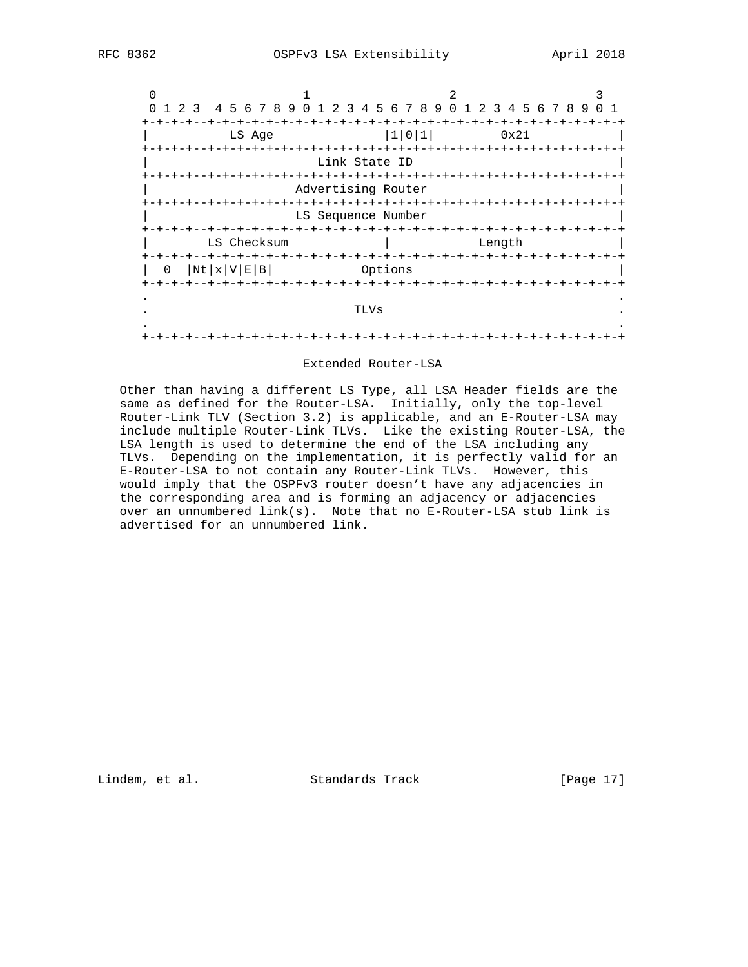

#### Extended Router-LSA

 Other than having a different LS Type, all LSA Header fields are the same as defined for the Router-LSA. Initially, only the top-level Router-Link TLV (Section 3.2) is applicable, and an E-Router-LSA may include multiple Router-Link TLVs. Like the existing Router-LSA, the LSA length is used to determine the end of the LSA including any TLVs. Depending on the implementation, it is perfectly valid for an E-Router-LSA to not contain any Router-Link TLVs. However, this would imply that the OSPFv3 router doesn't have any adjacencies in the corresponding area and is forming an adjacency or adjacencies over an unnumbered link(s). Note that no E-Router-LSA stub link is advertised for an unnumbered link.

Lindem, et al. Standards Track [Page 17]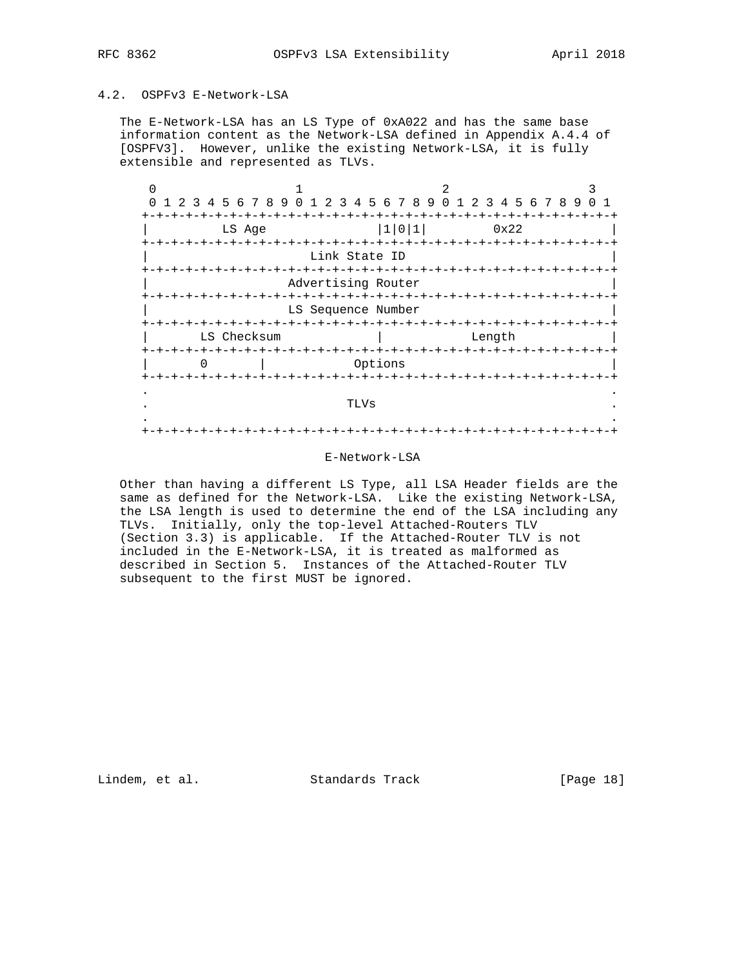# 4.2. OSPFv3 E-Network-LSA

 The E-Network-LSA has an LS Type of 0xA022 and has the same base information content as the Network-LSA defined in Appendix A.4.4 of [OSPFV3]. However, unlike the existing Network-LSA, it is fully extensible and represented as TLVs.

| $\Omega$          | 1 2 3 4 5 6 7 8 9 0 1 2 3 4 5 6 7 8 9 0 1 2 3 4 5 6 7 8 9 |             |  |                                           |               |      |         |       |                    |  |        |  |  | 0 1 |  |
|-------------------|-----------------------------------------------------------|-------------|--|-------------------------------------------|---------------|------|---------|-------|--------------------|--|--------|--|--|-----|--|
|                   |                                                           |             |  |                                           |               |      |         |       |                    |  |        |  |  |     |  |
|                   |                                                           | LS Age      |  |                                           |               |      |         | 1 0 1 |                    |  | 0x22   |  |  |     |  |
| +-+-+-+-+-+-+-+-+ |                                                           |             |  |                                           |               |      |         |       | -+-+-+-+-+-+-+-+-  |  |        |  |  |     |  |
|                   |                                                           |             |  |                                           | Link State ID |      |         |       |                    |  |        |  |  |     |  |
|                   |                                                           |             |  | $+ - + - + - + - +$<br>Advertising Router |               |      |         |       | -+-+-+-+-+-+-+-+   |  |        |  |  |     |  |
|                   |                                                           |             |  | $+ - + - + - + - + - +$                   |               |      |         |       | +-+-+-+-+-+-+-+-+- |  |        |  |  |     |  |
|                   |                                                           |             |  | LS Sequence Number                        |               |      |         |       |                    |  |        |  |  |     |  |
|                   |                                                           | LS Checksum |  |                                           |               |      |         |       |                    |  | Length |  |  |     |  |
|                   |                                                           |             |  |                                           |               |      | Options |       |                    |  |        |  |  |     |  |
|                   |                                                           |             |  |                                           |               |      |         |       |                    |  |        |  |  |     |  |
|                   |                                                           |             |  |                                           |               | TLVs |         |       |                    |  |        |  |  |     |  |
|                   |                                                           |             |  |                                           |               |      |         |       |                    |  |        |  |  |     |  |

### E-Network-LSA

 Other than having a different LS Type, all LSA Header fields are the same as defined for the Network-LSA. Like the existing Network-LSA, the LSA length is used to determine the end of the LSA including any TLVs. Initially, only the top-level Attached-Routers TLV (Section 3.3) is applicable. If the Attached-Router TLV is not included in the E-Network-LSA, it is treated as malformed as described in Section 5. Instances of the Attached-Router TLV subsequent to the first MUST be ignored.

Lindem, et al. Standards Track [Page 18]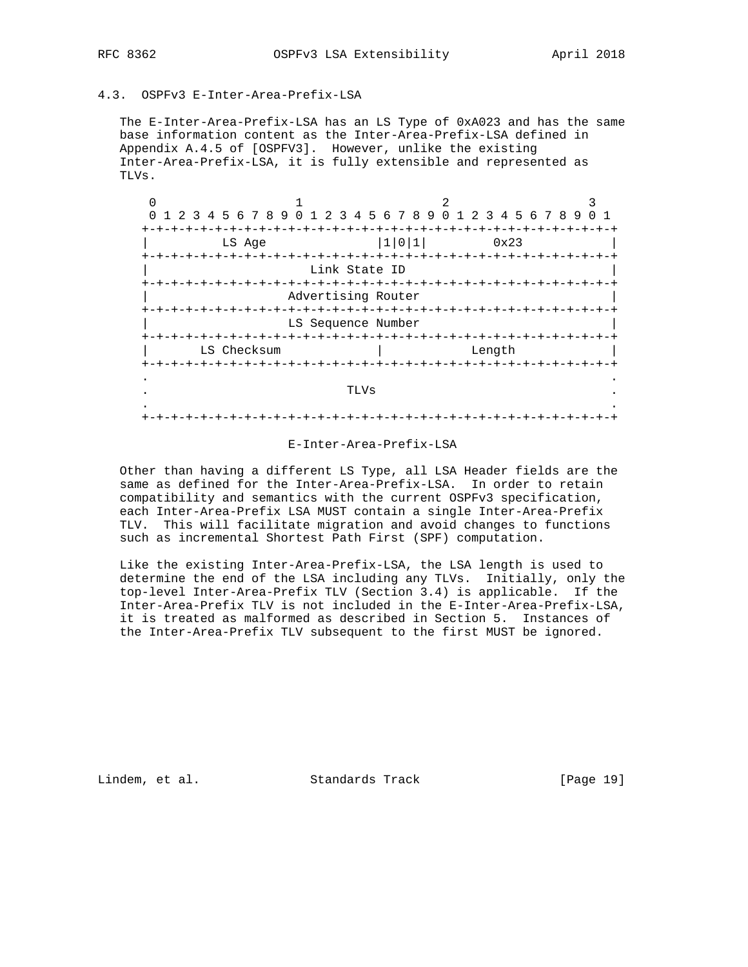# 4.3. OSPFv3 E-Inter-Area-Prefix-LSA

 The E-Inter-Area-Prefix-LSA has an LS Type of 0xA023 and has the same base information content as the Inter-Area-Prefix-LSA defined in Appendix A.4.5 of [OSPFV3]. However, unlike the existing Inter-Area-Prefix-LSA, it is fully extensible and represented as TLVs.

| $\Omega$ | 1 2 3 4 5 6 7 8 9 0 1 2 3 4 5 6 7 8 9 0 1 2 3 4 5 6 7 8 9 |                          |            |        |                                    |  |
|----------|-----------------------------------------------------------|--------------------------|------------|--------|------------------------------------|--|
|          |                                                           |                          |            |        |                                    |  |
|          | LS Age                                                    |                          | 1 0 1      |        | 0x23                               |  |
|          |                                                           |                          |            |        |                                    |  |
|          |                                                           | Link State ID            |            |        |                                    |  |
|          |                                                           | $-+ - + - + - + - + - +$ |            |        |                                    |  |
|          |                                                           | Advertising Router       |            |        |                                    |  |
|          |                                                           |                          |            |        |                                    |  |
|          |                                                           | LS Sequence Number       |            |        |                                    |  |
|          |                                                           |                          |            |        |                                    |  |
|          | LS Checksum                                               |                          |            | Length |                                    |  |
|          |                                                           |                          | -+-+-+-+-+ |        |                                    |  |
|          |                                                           |                          |            |        |                                    |  |
|          |                                                           | TLVs                     |            |        |                                    |  |
|          |                                                           |                          |            |        |                                    |  |
|          |                                                           |                          |            |        | -+-+-+-+-+-+-+-+-+-+-+-+-+-+-+-+-+ |  |
|          |                                                           |                          |            |        |                                    |  |

### E-Inter-Area-Prefix-LSA

 Other than having a different LS Type, all LSA Header fields are the same as defined for the Inter-Area-Prefix-LSA. In order to retain compatibility and semantics with the current OSPFv3 specification, each Inter-Area-Prefix LSA MUST contain a single Inter-Area-Prefix TLV. This will facilitate migration and avoid changes to functions such as incremental Shortest Path First (SPF) computation.

 Like the existing Inter-Area-Prefix-LSA, the LSA length is used to determine the end of the LSA including any TLVs. Initially, only the top-level Inter-Area-Prefix TLV (Section 3.4) is applicable. If the Inter-Area-Prefix TLV is not included in the E-Inter-Area-Prefix-LSA, it is treated as malformed as described in Section 5. Instances of the Inter-Area-Prefix TLV subsequent to the first MUST be ignored.

Lindem, et al. Standards Track [Page 19]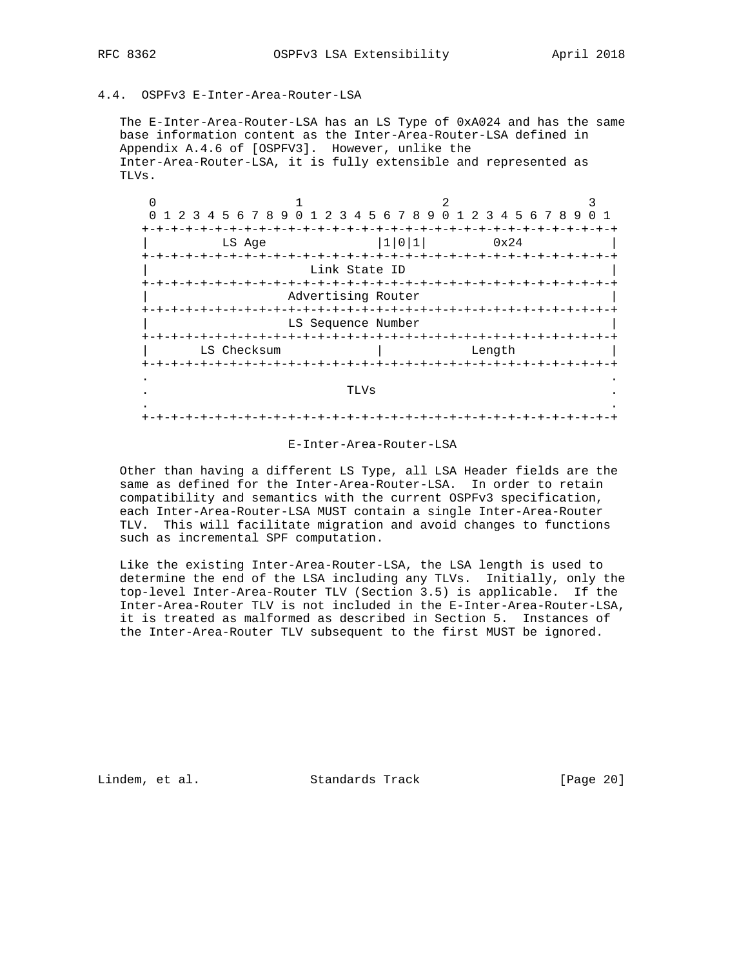4.4. OSPFv3 E-Inter-Area-Router-LSA

 The E-Inter-Area-Router-LSA has an LS Type of 0xA024 and has the same base information content as the Inter-Area-Router-LSA defined in Appendix A.4.6 of [OSPFV3]. However, unlike the Inter-Area-Router-LSA, it is fully extensible and represented as TLVs.

| 1 2 3 4 5 6 7 8 9 0 1 2 3 4 5 6 7 8 9 0 1 2 3 4 5 6 7 8 9<br>$\Omega$ |                          |            |                                    |  |
|-----------------------------------------------------------------------|--------------------------|------------|------------------------------------|--|
|                                                                       |                          |            |                                    |  |
| LS Age                                                                |                          | 1 0 1      | 0x24                               |  |
|                                                                       |                          |            |                                    |  |
|                                                                       | Link State ID            |            |                                    |  |
|                                                                       | $-+ - + - + - + - + - +$ |            |                                    |  |
|                                                                       | Advertising Router       |            |                                    |  |
|                                                                       |                          |            |                                    |  |
|                                                                       | LS Sequence Number       |            |                                    |  |
|                                                                       |                          |            |                                    |  |
| LS Checksum                                                           |                          |            | Length                             |  |
|                                                                       |                          | -+-+-+-+-+ |                                    |  |
|                                                                       |                          |            |                                    |  |
|                                                                       | TLVs                     |            |                                    |  |
|                                                                       |                          |            |                                    |  |
|                                                                       |                          |            | -+-+-+-+-+-+-+-+-+-+-+-+-+-+-+-+-+ |  |

#### E-Inter-Area-Router-LSA

 Other than having a different LS Type, all LSA Header fields are the same as defined for the Inter-Area-Router-LSA. In order to retain compatibility and semantics with the current OSPFv3 specification, each Inter-Area-Router-LSA MUST contain a single Inter-Area-Router TLV. This will facilitate migration and avoid changes to functions such as incremental SPF computation.

 Like the existing Inter-Area-Router-LSA, the LSA length is used to determine the end of the LSA including any TLVs. Initially, only the top-level Inter-Area-Router TLV (Section 3.5) is applicable. If the Inter-Area-Router TLV is not included in the E-Inter-Area-Router-LSA, it is treated as malformed as described in Section 5. Instances of the Inter-Area-Router TLV subsequent to the first MUST be ignored.

Lindem, et al. Standards Track [Page 20]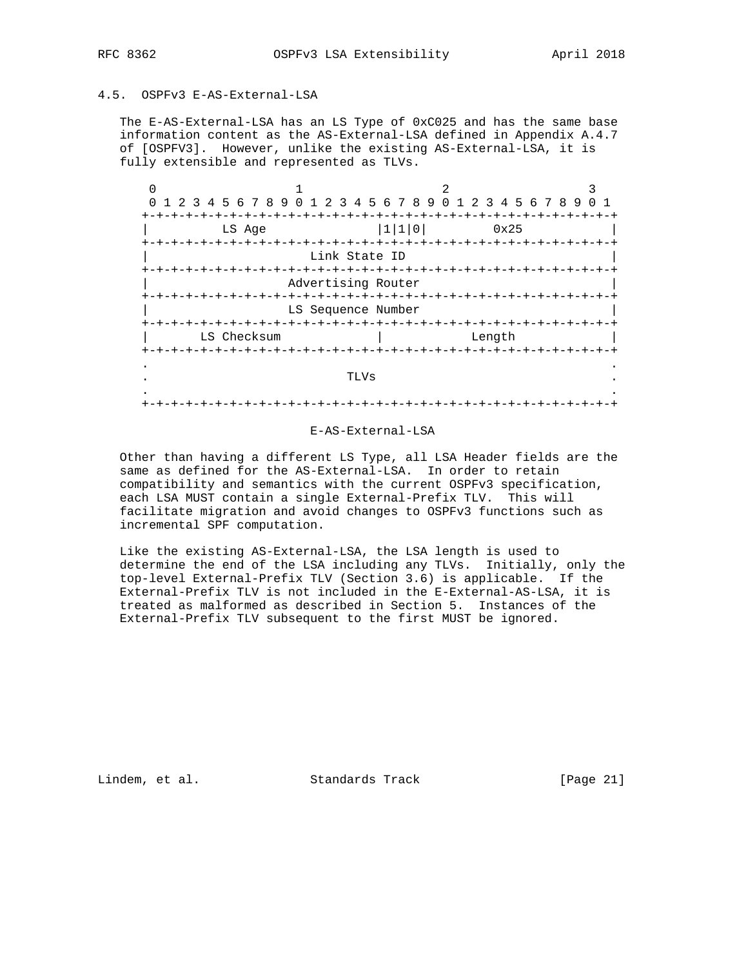# 4.5. OSPFv3 E-AS-External-LSA

 The E-AS-External-LSA has an LS Type of 0xC025 and has the same base information content as the AS-External-LSA defined in Appendix A.4.7 of [OSPFV3]. However, unlike the existing AS-External-LSA, it is fully extensible and represented as TLVs.

| $\Omega$          | 1 2 3 4 5 6 7 8 9 0 1 2 3 4 5 6 7 8 9 0 1 2 3 4 5 6 7 8 9 |            |                        |       |  |        |      |                         |  |
|-------------------|-----------------------------------------------------------|------------|------------------------|-------|--|--------|------|-------------------------|--|
|                   |                                                           |            |                        |       |  |        |      |                         |  |
|                   | LS Age                                                    |            |                        | 1 1 0 |  |        | 0x25 |                         |  |
|                   |                                                           |            |                        |       |  |        |      |                         |  |
|                   |                                                           |            | Link State ID          |       |  |        |      |                         |  |
|                   |                                                           | -+-+-+-+-+ |                        |       |  |        |      |                         |  |
|                   |                                                           |            | Advertising Router     |       |  |        |      |                         |  |
|                   |                                                           |            |                        |       |  |        |      |                         |  |
|                   |                                                           |            | LS Sequence Number     |       |  |        |      |                         |  |
|                   |                                                           |            |                        |       |  |        |      |                         |  |
|                   | LS Checksum                                               |            |                        |       |  | Length |      |                         |  |
| +-+-+-+-+-+-+-+-+ |                                                           |            | $-+ - + - + - + - + -$ |       |  |        |      | +-+-+-+-+-+-+-+-+-+-+-+ |  |
|                   |                                                           |            |                        |       |  |        |      |                         |  |
|                   |                                                           |            | TLVs                   |       |  |        |      |                         |  |
|                   |                                                           |            |                        |       |  |        |      |                         |  |
|                   |                                                           |            |                        |       |  |        |      |                         |  |
|                   |                                                           |            |                        |       |  |        |      |                         |  |

## E-AS-External-LSA

 Other than having a different LS Type, all LSA Header fields are the same as defined for the AS-External-LSA. In order to retain compatibility and semantics with the current OSPFv3 specification, each LSA MUST contain a single External-Prefix TLV. This will facilitate migration and avoid changes to OSPFv3 functions such as incremental SPF computation.

 Like the existing AS-External-LSA, the LSA length is used to determine the end of the LSA including any TLVs. Initially, only the top-level External-Prefix TLV (Section 3.6) is applicable. If the External-Prefix TLV is not included in the E-External-AS-LSA, it is treated as malformed as described in Section 5. Instances of the External-Prefix TLV subsequent to the first MUST be ignored.

Lindem, et al. Standards Track [Page 21]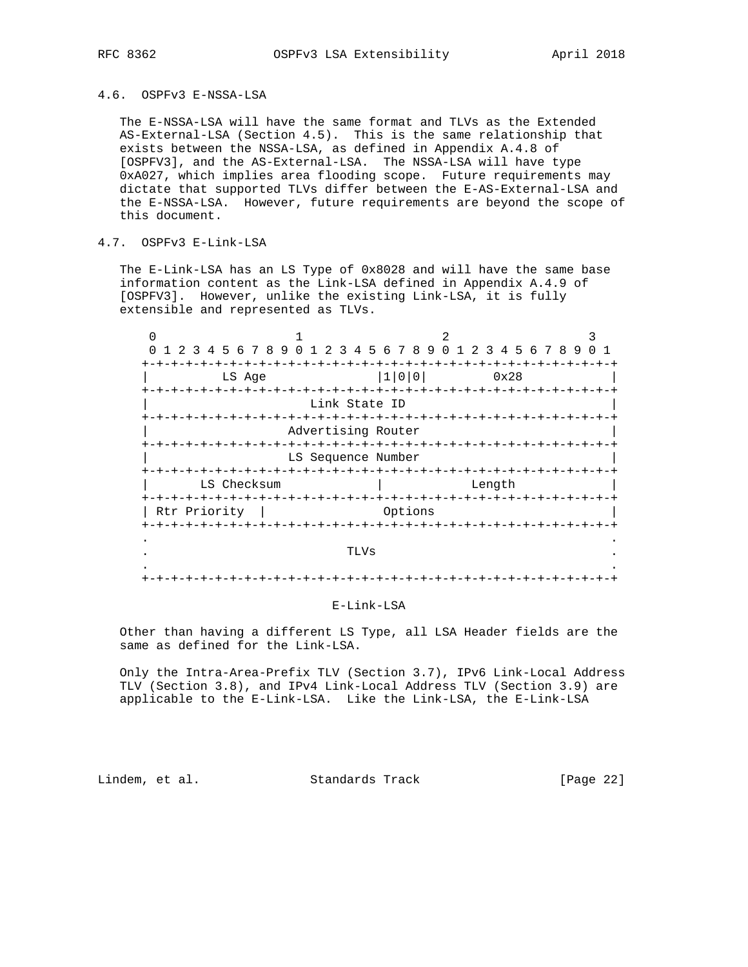## 4.6. OSPFv3 E-NSSA-LSA

 The E-NSSA-LSA will have the same format and TLVs as the Extended AS-External-LSA (Section 4.5). This is the same relationship that exists between the NSSA-LSA, as defined in Appendix A.4.8 of [OSPFV3], and the AS-External-LSA. The NSSA-LSA will have type 0xA027, which implies area flooding scope. Future requirements may dictate that supported TLVs differ between the E-AS-External-LSA and the E-NSSA-LSA. However, future requirements are beyond the scope of this document.

# 4.7. OSPFv3 E-Link-LSA

 The E-Link-LSA has an LS Type of 0x8028 and will have the same base information content as the Link-LSA defined in Appendix A.4.9 of [OSPFV3]. However, unlike the existing Link-LSA, it is fully extensible and represented as TLVs.

| 3<br>-2                              | 45678901                            | 2 3 4 5 6 7 8 9      |                              |                    |   |        |      |  |                 |  |
|--------------------------------------|-------------------------------------|----------------------|------------------------------|--------------------|---|--------|------|--|-----------------|--|
|                                      |                                     |                      |                              | $\Omega$           | 1 |        |      |  | 2 3 4 5 6 7 8 9 |  |
| LS Age                               |                                     |                      | 1 0 0                        |                    |   |        | 0x28 |  |                 |  |
|                                      |                                     | Link State ID        |                              |                    |   |        |      |  |                 |  |
|                                      | $- + - + - +$<br>Advertising Router |                      | +-+-+-+-+-+-+-+-+-+-+-+-+-+- | -+-+-+-+-+-+-+-+-+ |   |        |      |  |                 |  |
|                                      | LS Sequence Number                  |                      |                              |                    |   |        |      |  |                 |  |
| LS Checksum                          |                                     |                      |                              |                    |   | Length |      |  |                 |  |
| $-+ - + - + - + - +$<br>Rtr Priority |                                     |                      | Options                      |                    |   |        |      |  |                 |  |
|                                      |                                     | $-+ - + - + - + - +$ |                              |                    |   |        |      |  |                 |  |
|                                      |                                     | TLVs                 |                              |                    |   |        |      |  |                 |  |
|                                      |                                     |                      |                              |                    |   |        |      |  |                 |  |

#### E-Link-LSA

 Other than having a different LS Type, all LSA Header fields are the same as defined for the Link-LSA.

 Only the Intra-Area-Prefix TLV (Section 3.7), IPv6 Link-Local Address TLV (Section 3.8), and IPv4 Link-Local Address TLV (Section 3.9) are applicable to the E-Link-LSA. Like the Link-LSA, the E-Link-LSA

Lindem, et al. Standards Track [Page 22]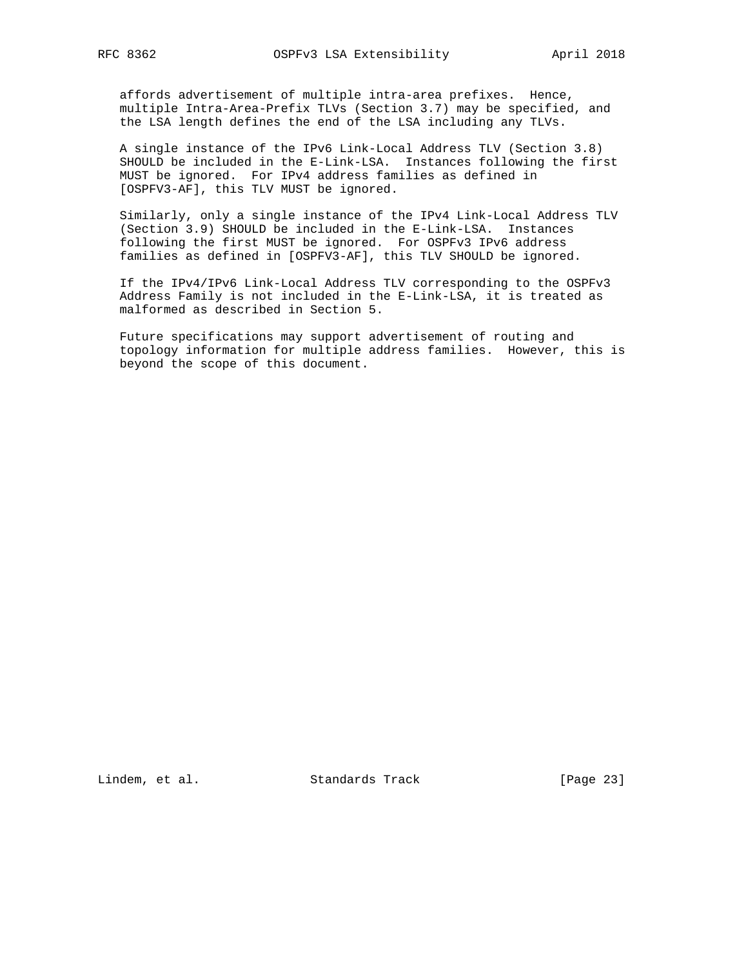affords advertisement of multiple intra-area prefixes. Hence, multiple Intra-Area-Prefix TLVs (Section 3.7) may be specified, and the LSA length defines the end of the LSA including any TLVs.

 A single instance of the IPv6 Link-Local Address TLV (Section 3.8) SHOULD be included in the E-Link-LSA. Instances following the first MUST be ignored. For IPv4 address families as defined in [OSPFV3-AF], this TLV MUST be ignored.

 Similarly, only a single instance of the IPv4 Link-Local Address TLV (Section 3.9) SHOULD be included in the E-Link-LSA. Instances following the first MUST be ignored. For OSPFv3 IPv6 address families as defined in [OSPFV3-AF], this TLV SHOULD be ignored.

 If the IPv4/IPv6 Link-Local Address TLV corresponding to the OSPFv3 Address Family is not included in the E-Link-LSA, it is treated as malformed as described in Section 5.

 Future specifications may support advertisement of routing and topology information for multiple address families. However, this is beyond the scope of this document.

Lindem, et al. Standards Track [Page 23]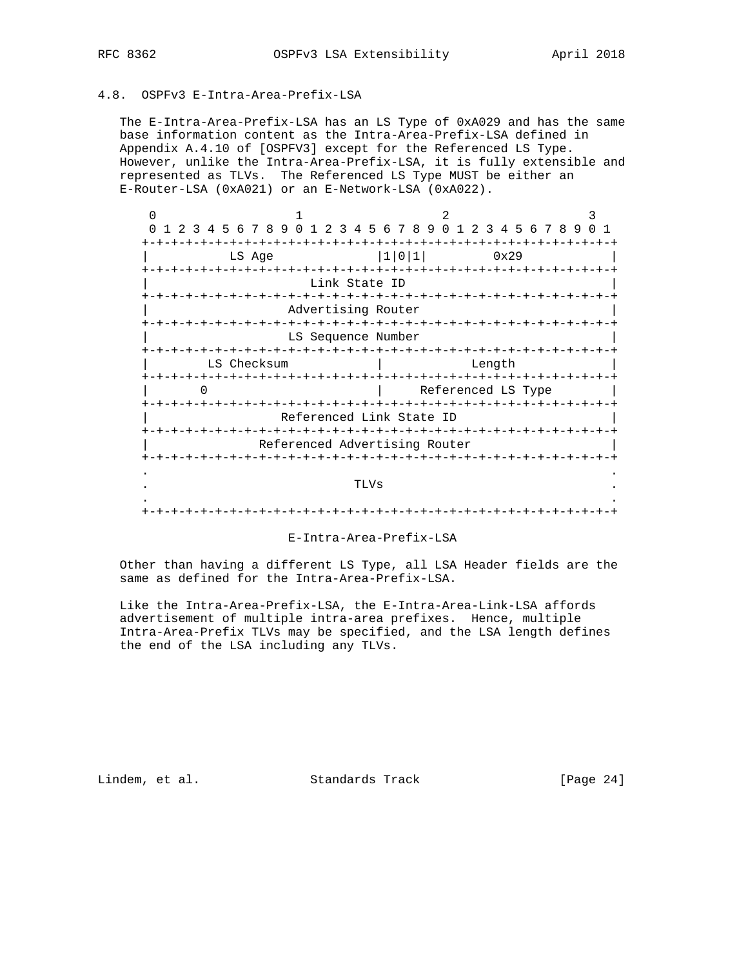# 4.8. OSPFv3 E-Intra-Area-Prefix-LSA

 The E-Intra-Area-Prefix-LSA has an LS Type of 0xA029 and has the same base information content as the Intra-Area-Prefix-LSA defined in Appendix A.4.10 of [OSPFV3] except for the Referenced LS Type. However, unlike the Intra-Area-Prefix-LSA, it is fully extensible and represented as TLVs. The Referenced LS Type MUST be either an E-Router-LSA (0xA021) or an E-Network-LSA (0xA022).

| 3 | 5 6 7 8 9 0 1<br>4 | 2                             | 3 4 5 6 7 8 9 | 0 <sub>1</sub><br>2 3 4 5 6 7 8 9   |  |
|---|--------------------|-------------------------------|---------------|-------------------------------------|--|
|   |                    |                               |               |                                     |  |
|   | LS Age             |                               | 1 0 1         | 0x29                                |  |
|   | +-+-+-+-+-+-+-+-+- | Link State ID                 |               |                                     |  |
|   |                    | -+-+-+<br>$-+$                |               | -+-+-+-+-+-+-+-+-+-+-+-+-+-+-+-+-+- |  |
|   |                    | Advertising Router            |               |                                     |  |
|   |                    |                               |               |                                     |  |
|   |                    | LS Sequence Number            |               |                                     |  |
|   |                    |                               |               |                                     |  |
|   | LS Checksum        |                               |               | Length                              |  |
|   |                    |                               | -+-+-+-+-+-+  | $- + - +$                           |  |
|   |                    |                               |               | Referenced LS Type                  |  |
|   | +-+-+-+-+-+-+-+-   |                               |               | +-+-+-+-+-+-+-+-+-+-+-+-+           |  |
|   |                    | Referenced Link State ID      |               |                                     |  |
|   |                    |                               |               |                                     |  |
|   |                    | Referenced Advertising Router |               |                                     |  |
|   |                    |                               |               |                                     |  |
|   |                    |                               |               |                                     |  |
|   |                    | TLVs                          |               |                                     |  |
|   |                    |                               |               |                                     |  |
|   |                    |                               |               |                                     |  |

## E-Intra-Area-Prefix-LSA

 Other than having a different LS Type, all LSA Header fields are the same as defined for the Intra-Area-Prefix-LSA.

 Like the Intra-Area-Prefix-LSA, the E-Intra-Area-Link-LSA affords advertisement of multiple intra-area prefixes. Hence, multiple Intra-Area-Prefix TLVs may be specified, and the LSA length defines the end of the LSA including any TLVs.

Lindem, et al. Standards Track [Page 24]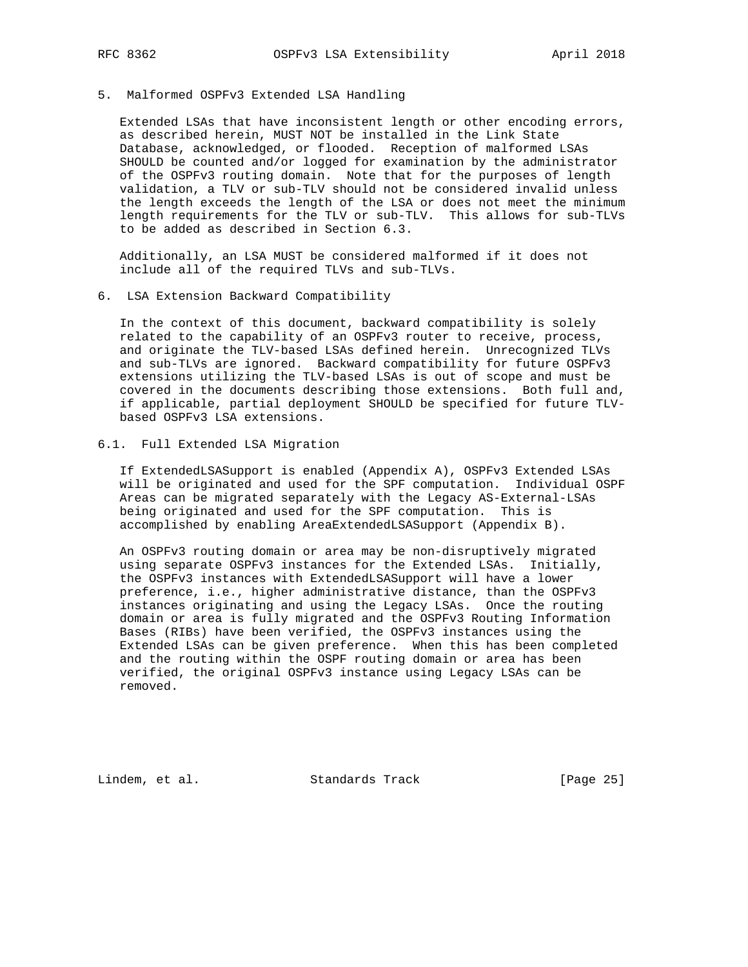## 5. Malformed OSPFv3 Extended LSA Handling

 Extended LSAs that have inconsistent length or other encoding errors, as described herein, MUST NOT be installed in the Link State Database, acknowledged, or flooded. Reception of malformed LSAs SHOULD be counted and/or logged for examination by the administrator of the OSPFv3 routing domain. Note that for the purposes of length validation, a TLV or sub-TLV should not be considered invalid unless the length exceeds the length of the LSA or does not meet the minimum length requirements for the TLV or sub-TLV. This allows for sub-TLVs to be added as described in Section 6.3.

 Additionally, an LSA MUST be considered malformed if it does not include all of the required TLVs and sub-TLVs.

6. LSA Extension Backward Compatibility

 In the context of this document, backward compatibility is solely related to the capability of an OSPFv3 router to receive, process, and originate the TLV-based LSAs defined herein. Unrecognized TLVs and sub-TLVs are ignored. Backward compatibility for future OSPFv3 extensions utilizing the TLV-based LSAs is out of scope and must be covered in the documents describing those extensions. Both full and, if applicable, partial deployment SHOULD be specified for future TLV based OSPFv3 LSA extensions.

## 6.1. Full Extended LSA Migration

 If ExtendedLSASupport is enabled (Appendix A), OSPFv3 Extended LSAs will be originated and used for the SPF computation. Individual OSPF Areas can be migrated separately with the Legacy AS-External-LSAs being originated and used for the SPF computation. This is accomplished by enabling AreaExtendedLSASupport (Appendix B).

 An OSPFv3 routing domain or area may be non-disruptively migrated using separate OSPFv3 instances for the Extended LSAs. Initially, the OSPFv3 instances with ExtendedLSASupport will have a lower preference, i.e., higher administrative distance, than the OSPFv3 instances originating and using the Legacy LSAs. Once the routing domain or area is fully migrated and the OSPFv3 Routing Information Bases (RIBs) have been verified, the OSPFv3 instances using the Extended LSAs can be given preference. When this has been completed and the routing within the OSPF routing domain or area has been verified, the original OSPFv3 instance using Legacy LSAs can be removed.

Lindem, et al. Standards Track [Page 25]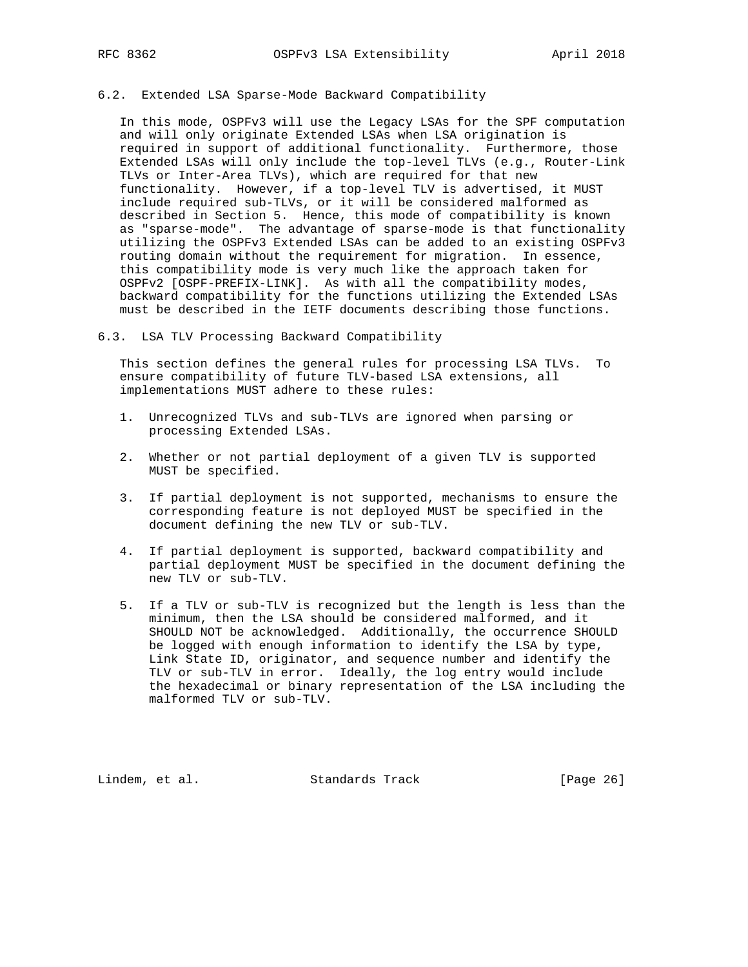## 6.2. Extended LSA Sparse-Mode Backward Compatibility

 In this mode, OSPFv3 will use the Legacy LSAs for the SPF computation and will only originate Extended LSAs when LSA origination is required in support of additional functionality. Furthermore, those Extended LSAs will only include the top-level TLVs (e.g., Router-Link TLVs or Inter-Area TLVs), which are required for that new functionality. However, if a top-level TLV is advertised, it MUST include required sub-TLVs, or it will be considered malformed as described in Section 5. Hence, this mode of compatibility is known as "sparse-mode". The advantage of sparse-mode is that functionality utilizing the OSPFv3 Extended LSAs can be added to an existing OSPFv3 routing domain without the requirement for migration. In essence, this compatibility mode is very much like the approach taken for OSPFv2 [OSPF-PREFIX-LINK]. As with all the compatibility modes, backward compatibility for the functions utilizing the Extended LSAs must be described in the IETF documents describing those functions.

#### 6.3. LSA TLV Processing Backward Compatibility

 This section defines the general rules for processing LSA TLVs. To ensure compatibility of future TLV-based LSA extensions, all implementations MUST adhere to these rules:

- 1. Unrecognized TLVs and sub-TLVs are ignored when parsing or processing Extended LSAs.
- 2. Whether or not partial deployment of a given TLV is supported MUST be specified.
- 3. If partial deployment is not supported, mechanisms to ensure the corresponding feature is not deployed MUST be specified in the document defining the new TLV or sub-TLV.
- 4. If partial deployment is supported, backward compatibility and partial deployment MUST be specified in the document defining the new TLV or sub-TLV.
- 5. If a TLV or sub-TLV is recognized but the length is less than the minimum, then the LSA should be considered malformed, and it SHOULD NOT be acknowledged. Additionally, the occurrence SHOULD be logged with enough information to identify the LSA by type, Link State ID, originator, and sequence number and identify the TLV or sub-TLV in error. Ideally, the log entry would include the hexadecimal or binary representation of the LSA including the malformed TLV or sub-TLV.

Lindem, et al. Standards Track [Page 26]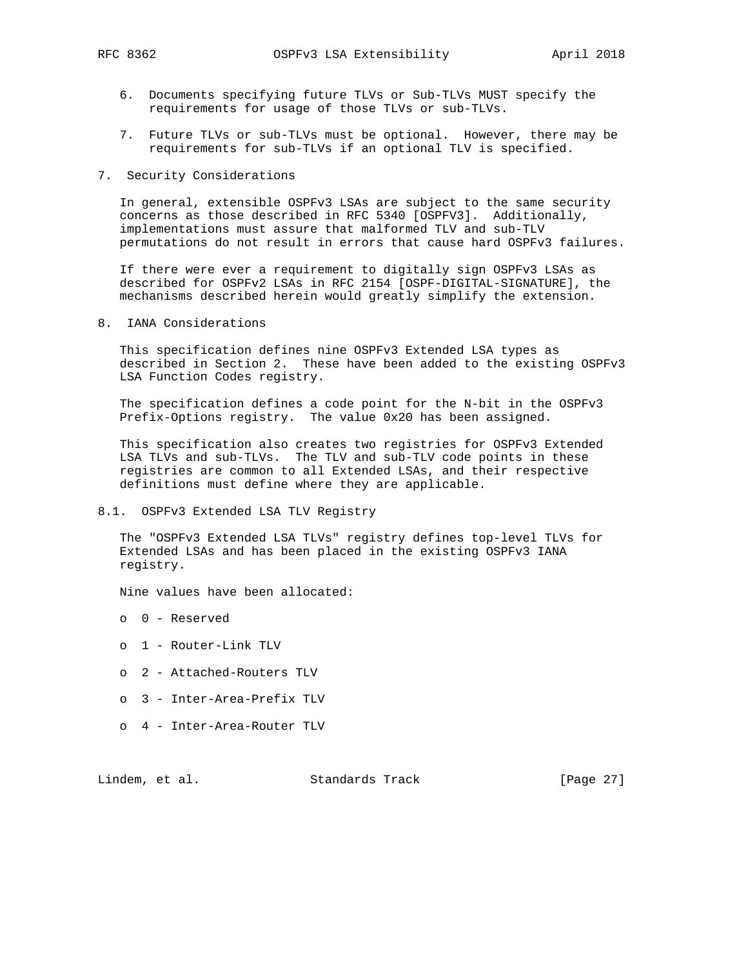- 6. Documents specifying future TLVs or Sub-TLVs MUST specify the requirements for usage of those TLVs or sub-TLVs.
- 7. Future TLVs or sub-TLVs must be optional. However, there may be requirements for sub-TLVs if an optional TLV is specified.
- 7. Security Considerations

 In general, extensible OSPFv3 LSAs are subject to the same security concerns as those described in RFC 5340 [OSPFV3]. Additionally, implementations must assure that malformed TLV and sub-TLV permutations do not result in errors that cause hard OSPFv3 failures.

 If there were ever a requirement to digitally sign OSPFv3 LSAs as described for OSPFv2 LSAs in RFC 2154 [OSPF-DIGITAL-SIGNATURE], the mechanisms described herein would greatly simplify the extension.

8. IANA Considerations

 This specification defines nine OSPFv3 Extended LSA types as described in Section 2. These have been added to the existing OSPFv3 LSA Function Codes registry.

 The specification defines a code point for the N-bit in the OSPFv3 Prefix-Options registry. The value 0x20 has been assigned.

 This specification also creates two registries for OSPFv3 Extended LSA TLVs and sub-TLVs. The TLV and sub-TLV code points in these registries are common to all Extended LSAs, and their respective definitions must define where they are applicable.

8.1. OSPFv3 Extended LSA TLV Registry

 The "OSPFv3 Extended LSA TLVs" registry defines top-level TLVs for Extended LSAs and has been placed in the existing OSPFv3 IANA registry.

Nine values have been allocated:

- o 0 Reserved
- o 1 Router-Link TLV
- o 2 Attached-Routers TLV
- o 3 Inter-Area-Prefix TLV
- o 4 Inter-Area-Router TLV

Lindem, et al. Standards Track [Page 27]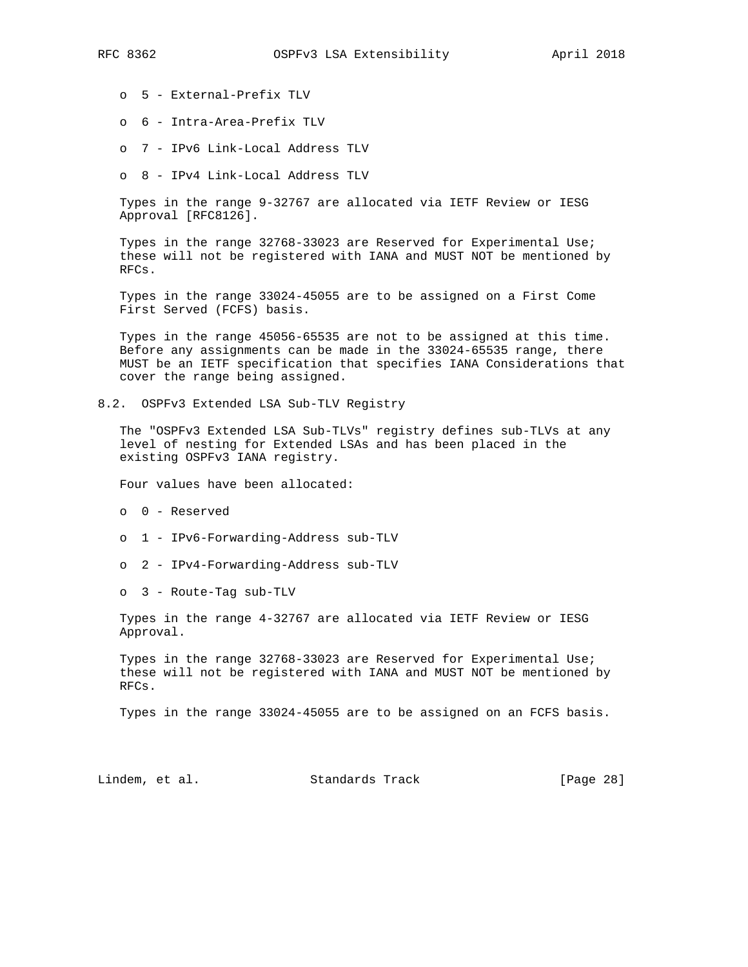o 5 - External-Prefix TLV

- o 6 Intra-Area-Prefix TLV
- o 7 IPv6 Link-Local Address TLV
- o 8 IPv4 Link-Local Address TLV

 Types in the range 9-32767 are allocated via IETF Review or IESG Approval [RFC8126].

 Types in the range 32768-33023 are Reserved for Experimental Use; these will not be registered with IANA and MUST NOT be mentioned by RFCs.

 Types in the range 33024-45055 are to be assigned on a First Come First Served (FCFS) basis.

 Types in the range 45056-65535 are not to be assigned at this time. Before any assignments can be made in the 33024-65535 range, there MUST be an IETF specification that specifies IANA Considerations that cover the range being assigned.

8.2. OSPFv3 Extended LSA Sub-TLV Registry

 The "OSPFv3 Extended LSA Sub-TLVs" registry defines sub-TLVs at any level of nesting for Extended LSAs and has been placed in the existing OSPFv3 IANA registry.

Four values have been allocated:

- o 0 Reserved
- o 1 IPv6-Forwarding-Address sub-TLV
- o 2 IPv4-Forwarding-Address sub-TLV
- o 3 Route-Tag sub-TLV

 Types in the range 4-32767 are allocated via IETF Review or IESG Approval.

 Types in the range 32768-33023 are Reserved for Experimental Use; these will not be registered with IANA and MUST NOT be mentioned by RFCs.

Types in the range 33024-45055 are to be assigned on an FCFS basis.

Lindem, et al. Standards Track [Page 28]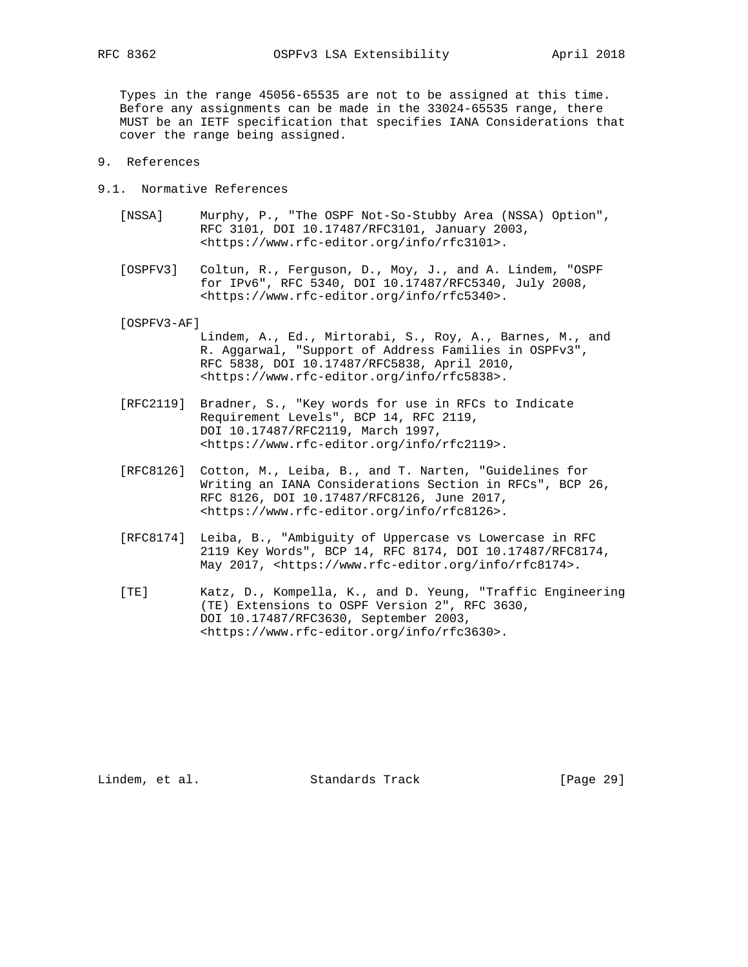Types in the range 45056-65535 are not to be assigned at this time. Before any assignments can be made in the 33024-65535 range, there MUST be an IETF specification that specifies IANA Considerations that cover the range being assigned.

- 9. References
- 9.1. Normative References
	- [NSSA] Murphy, P., "The OSPF Not-So-Stubby Area (NSSA) Option", RFC 3101, DOI 10.17487/RFC3101, January 2003, <https://www.rfc-editor.org/info/rfc3101>.
	- [OSPFV3] Coltun, R., Ferguson, D., Moy, J., and A. Lindem, "OSPF for IPv6", RFC 5340, DOI 10.17487/RFC5340, July 2008, <https://www.rfc-editor.org/info/rfc5340>.

[OSPFV3-AF]

- Lindem, A., Ed., Mirtorabi, S., Roy, A., Barnes, M., and R. Aggarwal, "Support of Address Families in OSPFv3", RFC 5838, DOI 10.17487/RFC5838, April 2010, <https://www.rfc-editor.org/info/rfc5838>.
- [RFC2119] Bradner, S., "Key words for use in RFCs to Indicate Requirement Levels", BCP 14, RFC 2119, DOI 10.17487/RFC2119, March 1997, <https://www.rfc-editor.org/info/rfc2119>.
- [RFC8126] Cotton, M., Leiba, B., and T. Narten, "Guidelines for Writing an IANA Considerations Section in RFCs", BCP 26, RFC 8126, DOI 10.17487/RFC8126, June 2017, <https://www.rfc-editor.org/info/rfc8126>.
- [RFC8174] Leiba, B., "Ambiguity of Uppercase vs Lowercase in RFC 2119 Key Words", BCP 14, RFC 8174, DOI 10.17487/RFC8174, May 2017, <https://www.rfc-editor.org/info/rfc8174>.
- [TE] Katz, D., Kompella, K., and D. Yeung, "Traffic Engineering (TE) Extensions to OSPF Version 2", RFC 3630, DOI 10.17487/RFC3630, September 2003, <https://www.rfc-editor.org/info/rfc3630>.

Lindem, et al. Standards Track [Page 29]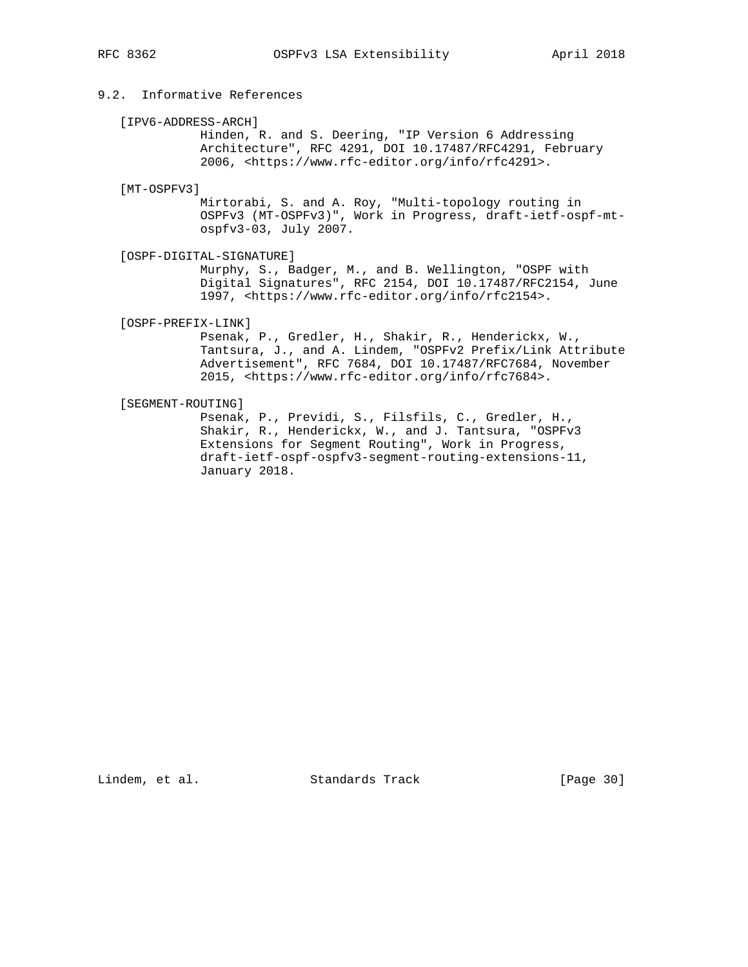# 9.2. Informative References

### [IPV6-ADDRESS-ARCH]

 Hinden, R. and S. Deering, "IP Version 6 Addressing Architecture", RFC 4291, DOI 10.17487/RFC4291, February 2006, <https://www.rfc-editor.org/info/rfc4291>.

#### [MT-OSPFV3]

 Mirtorabi, S. and A. Roy, "Multi-topology routing in OSPFv3 (MT-OSPFv3)", Work in Progress, draft-ietf-ospf-mt ospfv3-03, July 2007.

[OSPF-DIGITAL-SIGNATURE]

 Murphy, S., Badger, M., and B. Wellington, "OSPF with Digital Signatures", RFC 2154, DOI 10.17487/RFC2154, June 1997, <https://www.rfc-editor.org/info/rfc2154>.

[OSPF-PREFIX-LINK]

 Psenak, P., Gredler, H., Shakir, R., Henderickx, W., Tantsura, J., and A. Lindem, "OSPFv2 Prefix/Link Attribute Advertisement", RFC 7684, DOI 10.17487/RFC7684, November 2015, <https://www.rfc-editor.org/info/rfc7684>.

## [SEGMENT-ROUTING]

 Psenak, P., Previdi, S., Filsfils, C., Gredler, H., Shakir, R., Henderickx, W., and J. Tantsura, "OSPFv3 Extensions for Segment Routing", Work in Progress, draft-ietf-ospf-ospfv3-segment-routing-extensions-11, January 2018.

Lindem, et al. Standards Track [Page 30]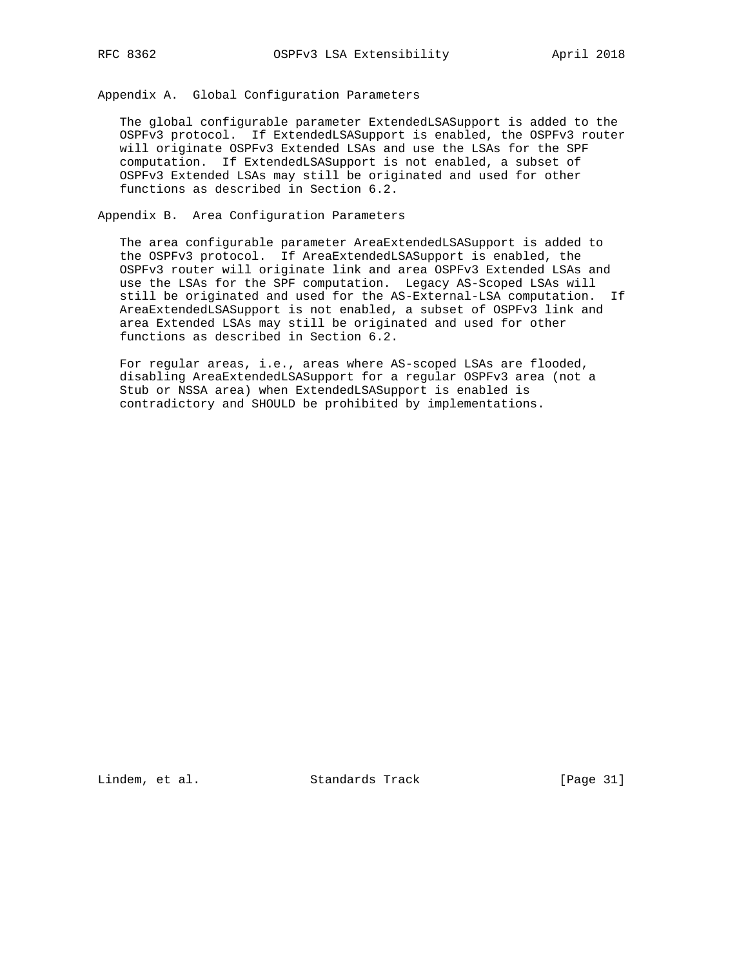Appendix A. Global Configuration Parameters

 The global configurable parameter ExtendedLSASupport is added to the OSPFv3 protocol. If ExtendedLSASupport is enabled, the OSPFv3 router will originate OSPFv3 Extended LSAs and use the LSAs for the SPF computation. If ExtendedLSASupport is not enabled, a subset of OSPFv3 Extended LSAs may still be originated and used for other functions as described in Section 6.2.

Appendix B. Area Configuration Parameters

 The area configurable parameter AreaExtendedLSASupport is added to the OSPFv3 protocol. If AreaExtendedLSASupport is enabled, the OSPFv3 router will originate link and area OSPFv3 Extended LSAs and use the LSAs for the SPF computation. Legacy AS-Scoped LSAs will still be originated and used for the AS-External-LSA computation. If AreaExtendedLSASupport is not enabled, a subset of OSPFv3 link and area Extended LSAs may still be originated and used for other functions as described in Section 6.2.

 For regular areas, i.e., areas where AS-scoped LSAs are flooded, disabling AreaExtendedLSASupport for a regular OSPFv3 area (not a Stub or NSSA area) when ExtendedLSASupport is enabled is contradictory and SHOULD be prohibited by implementations.

Lindem, et al. Standards Track [Page 31]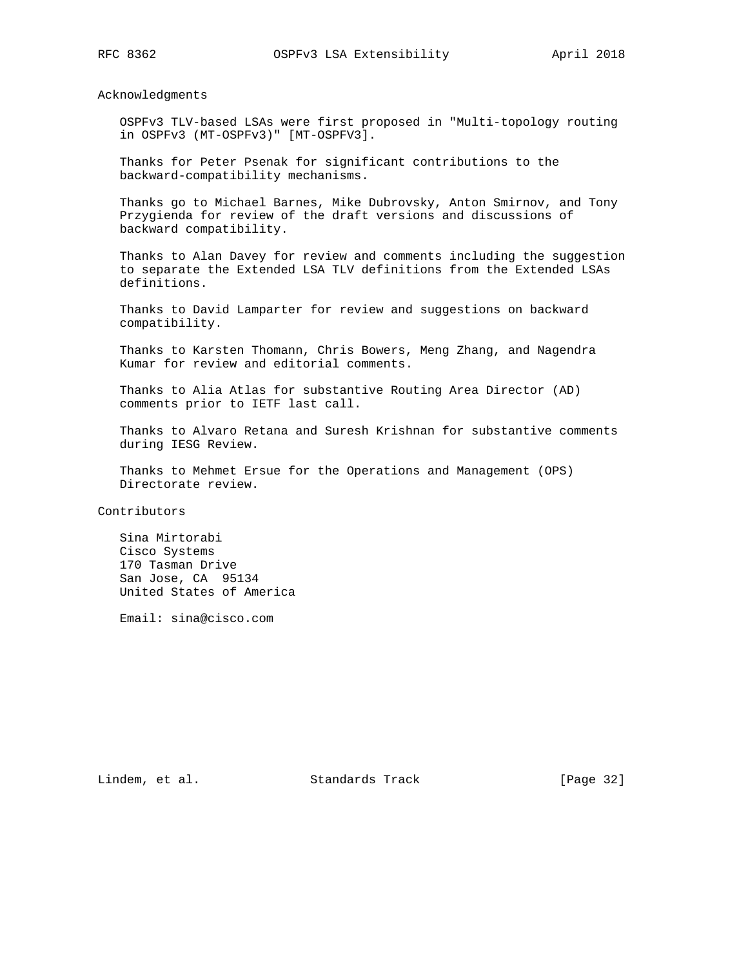Acknowledgments

 OSPFv3 TLV-based LSAs were first proposed in "Multi-topology routing in OSPFv3 (MT-OSPFv3)" [MT-OSPFV3].

 Thanks for Peter Psenak for significant contributions to the backward-compatibility mechanisms.

 Thanks go to Michael Barnes, Mike Dubrovsky, Anton Smirnov, and Tony Przygienda for review of the draft versions and discussions of backward compatibility.

 Thanks to Alan Davey for review and comments including the suggestion to separate the Extended LSA TLV definitions from the Extended LSAs definitions.

 Thanks to David Lamparter for review and suggestions on backward compatibility.

 Thanks to Karsten Thomann, Chris Bowers, Meng Zhang, and Nagendra Kumar for review and editorial comments.

 Thanks to Alia Atlas for substantive Routing Area Director (AD) comments prior to IETF last call.

 Thanks to Alvaro Retana and Suresh Krishnan for substantive comments during IESG Review.

 Thanks to Mehmet Ersue for the Operations and Management (OPS) Directorate review.

Contributors

 Sina Mirtorabi Cisco Systems 170 Tasman Drive San Jose, CA 95134 United States of America

Email: sina@cisco.com

Lindem, et al. Standards Track [Page 32]